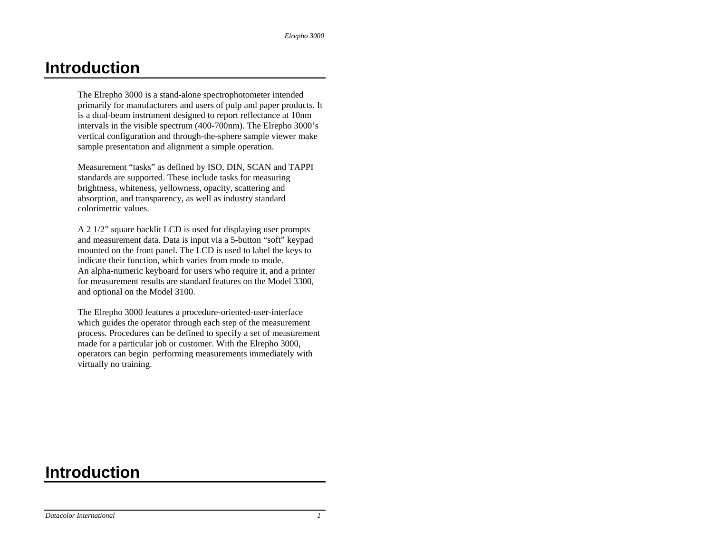# **Introduction**

The Elrepho 3000 is a stand-alone spectrophotometer intended primarily for manufacturers and users of pulp and paper products. It is a dual-beam instrument designed to report reflectance at 10nm intervals in the visible spectrum (400-700nm). The Elrepho 3000's vertical configuration and through-the-sphere sample viewer make sample presentation and alignment a simple operation.

Measurement "tasks" as defined by ISO, DIN, SCAN and TAPPI standards are supported. These include tasks for measuring brightness, whiteness, yellowness, opacity, scattering and absorption, and transparency, as well as industry standard colorimetric values.

A 2 1/2" square backlit LCD is used for displaying user prompts and measurement data. Data is input via a 5-button "soft" keypad mounted on the front panel. The LCD is used to label the keys to indicate their function, which varies from mode to mode. An alpha-numeric keyboard for users who require it, and a printer for measurement results are standard features on the Model 3300, and optional on the Model 3100.

The Elrepho 3000 features a procedure-oriented-user-interface which guides the operator through each step of the measurement process. Procedures can be defined to specify a set of measurement made for a particular job or customer. With the Elrepho 3000, operators can begin performing measurements immediately with virtually no training.

# **Introduction**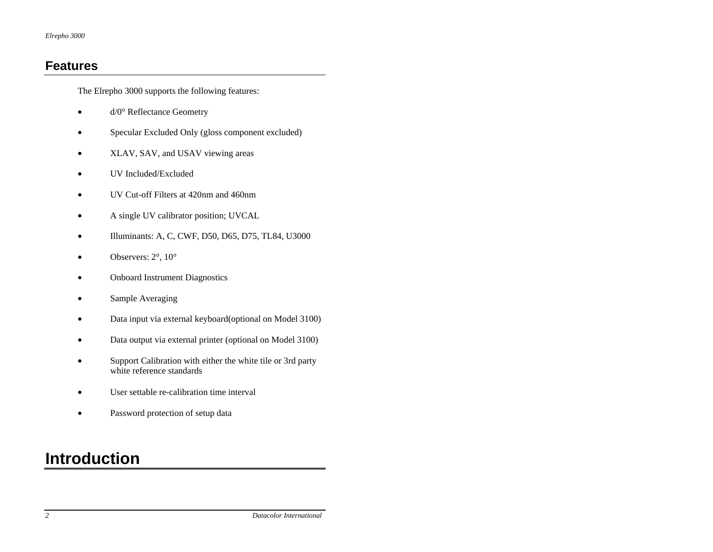## **Features**

The Elrepho 3000 supports the following features:

- d/0° Reflectance Geometry
- Specular Excluded Only (gloss component excluded)
- XLAV, SAV, and USAV viewing areas
- UV Included/Excluded
- UV Cut-off Filters at 420nm and 460nm
- A single UV calibrator position; UVCAL
- Illuminants: A, C, CWF, D50, D65, D75, TL84, U3000
- Observers:  $2^\circ$ ,  $10^\circ$
- Onboard Instrument Diagnostics
- Sample Averaging
- Data input via external keyboard(optional on Model 3100)
- Data output via external printer (optional on Model 3100)
- Support Calibration with either the white tile or 3rd party white reference standards
- User settable re-calibration time interval
- Password protection of setup data

# **Introduction**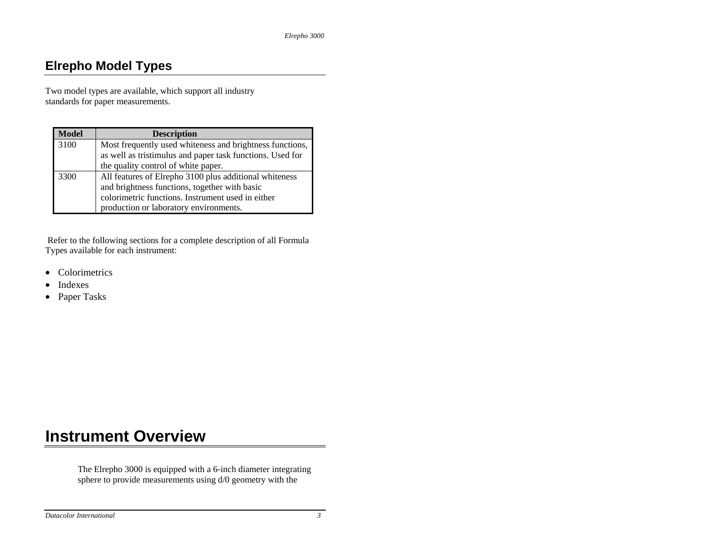## **Elrepho Model Types**

Two model types are available, which support all industry standards for paper measurements.

| <b>Model</b> | <b>Description</b>                                                                                                                                                                                     |
|--------------|--------------------------------------------------------------------------------------------------------------------------------------------------------------------------------------------------------|
| 3100         | Most frequently used whiteness and brightness functions,<br>as well as tristimulus and paper task functions. Used for<br>the quality control of white paper.                                           |
| 3300         | All features of Elrepho 3100 plus additional whiteness<br>and brightness functions, together with basic<br>colorimetric functions. Instrument used in either<br>production or laboratory environments. |

 Refer to the following sections for a complete description of all Formula Types available for each instrument:

- •Colorimetrics
- •Indexes
- Paper Tasks

# **Instrument Overview**

The Elrepho 3000 is equipped with a 6-inch diameter integrating sphere to provide measurements using d/0 geometry with the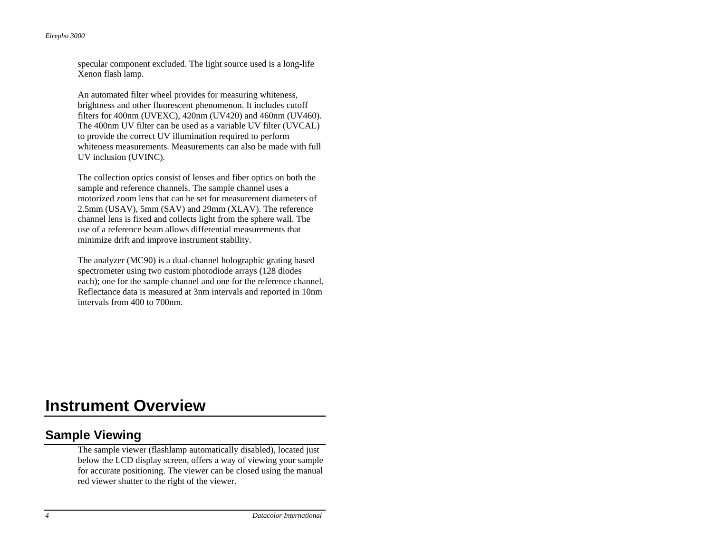specular component excluded. The light source used is a long-life Xenon flash lamp.

An automated filter wheel provides for measuring whiteness, brightness and other fluorescent phenomenon. It includes cutoff filters for 400nm (UVEXC), 420nm (UV420) and 460nm (UV460). The 400nm UV filter can be used as a variable UV filter (UVCAL) to provide the correct UV illumination required to perform whiteness measurements. Measurements can also be made with full UV inclusion (UVINC).

The collection optics consist of lenses and fiber optics on both the sample and reference channels. The sample channel uses a motorized zoom lens that can be set for measurement diameters of 2.5mm (USAV), 5mm (SAV) and 29mm (XLAV). The reference channel lens is fixed and collects light from the sphere wall. The use of a reference beam allows differential measurements that minimize drift and improve instrument stability.

The analyzer (MC90) is a dual-channel holographic grating based spectrometer using two custom photodiode arrays (128 diodes each); one for the sample channel and one for the reference channel. Reflectance data is measured at 3nm intervals and reported in 10nm intervals from 400 to 700nm.

# **Instrument Overview**

## **Sample Viewing**

The sample viewer (flashlamp automatically disabled), located just below the LCD display screen, offers a way of viewing your sample for accurate positioning. The viewer can be closed using the manual red viewer shutter to the right of the viewer.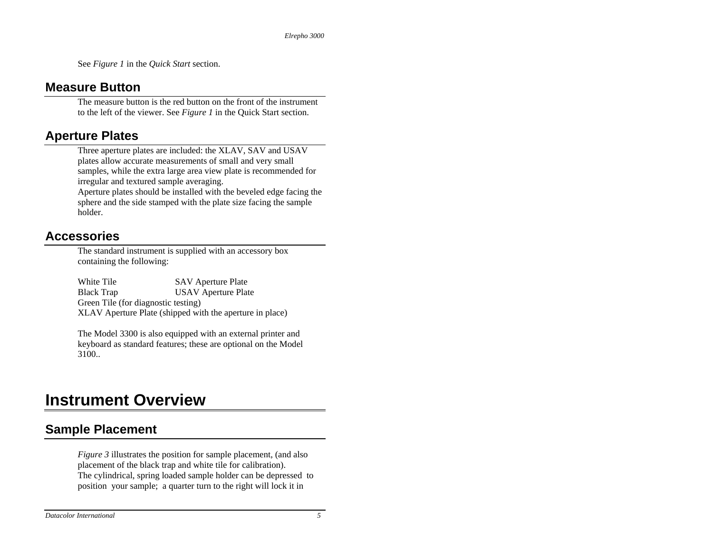See *Figure 1* in the *Quick Start* section.

## **Measure Button**

The measure button is the red button on the front of the instrument to the left of the viewer. See *Figure 1* in the Quick Start section.

## **Aperture Plates**

Three aperture plates are included: the XLAV, SAV and USAV plates allow accurate measurements of small and very small samples, while the extra large area view plate is recommended for irregular and textured sample averaging. Aperture plates should be installed with the beveled edge facing the

sphere and the side stamped with the plate size facing the sample holder.

## **Accessories**

The standard instrument is supplied with an accessory box containing the following:

White Tile SAV Aperture Plate Black Trap USAV Aperture Plate Green Tile (for diagnostic testing) XLAV Aperture Plate (shipped with the aperture in place)

The Model 3300 is also equipped with an external printer and keyboard as standard features; these are optional on the Model 3100..

# **Instrument Overview**

## **Sample Placement**

*Figure 3* illustrates the position for sample placement, (and also placement of the black trap and white tile for calibration). The cylindrical, spring loaded sample holder can be depressed to position your sample; a quarter turn to the right will lock it in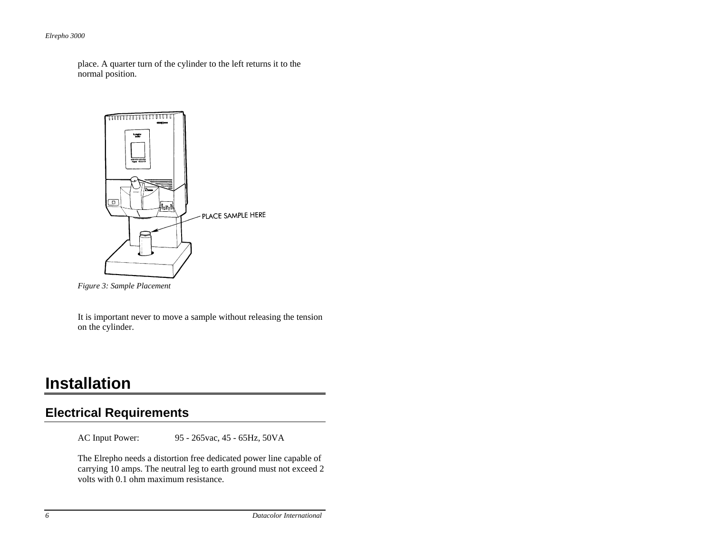place. A quarter turn of the cylinder to the left returns it to the normal position.



 *Figure 3: Sample Placement* 

It is important never to move a sample without releasing the tension on the cylinder.

## **Installation**

### **Electrical Requirements**

AC Input Power: 95 - 265vac, 45 - 65Hz, 50VA

The Elrepho needs a distortion free dedicated power line capable of carrying 10 amps. The neutral leg to earth ground must not exceed 2 volts with 0.1 ohm maximum resistance.

*6 Datacolor International*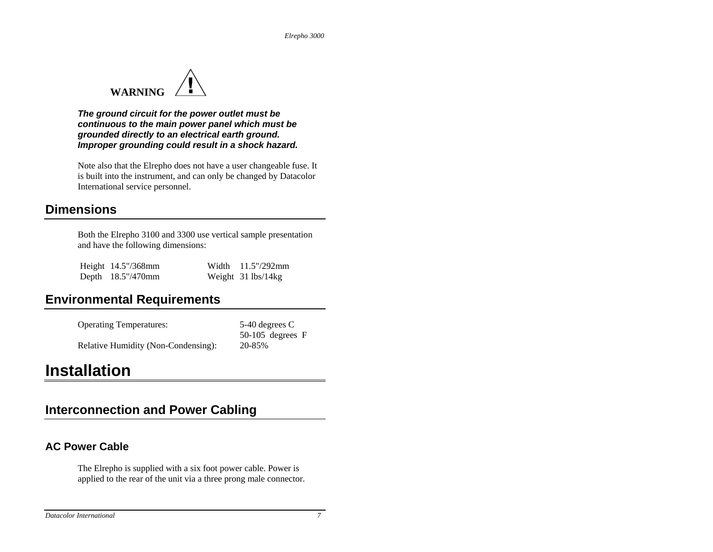

*The ground circuit for the power outlet must be continuous to the main power panel which must be grounded directly to an electrical earth ground. Improper grounding could result in a shock hazard.* 

Note also that the Elrepho does not have a user changeable fuse. It is built into the instrument, and can only be changed by Datacolor International service personnel.

### **Dimensions**

Both the Elrepho 3100 and 3300 use vertical sample presentation and have the following dimensions:

| Height 14.5"/368mm | Width $11.5''/292$ mm |
|--------------------|-----------------------|
| Depth 18.5"/470mm  | Weight 31 lbs/14kg    |

## **Environmental Requirements**

| <b>Operating Temperatures:</b>      | 5-40 degrees C     |
|-------------------------------------|--------------------|
|                                     | $50-105$ degrees F |
| Relative Humidity (Non-Condensing): | 20-85%             |

## **Installation**

## **Interconnection and Power Cabling**

### **AC Power Cable**

The Elrepho is supplied with a six foot power cable. Power is applied to the rear of the unit via a three prong male connector.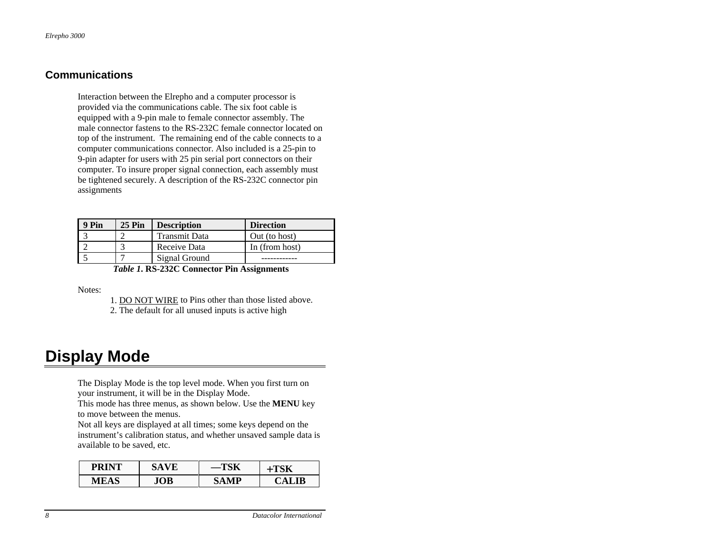#### **Communications**

Interaction between the Elrepho and a computer processor is provided via the communications cable. The six foot cable is equipped with a 9-pin male to female connector assembly. The male connector fastens to the RS-232C female connector located on top of the instrument. The remaining end of the cable connects to a computer communications connector. Also included is a 25-pin to 9-pin adapter for users with 25 pin serial port connectors on their computer. To insure proper signal connection, each assembly must be tightened securely. A description of the RS-232C connector pin assignments

| 9 Pin | <b>25 Pin</b> | <b>Description</b>   | <b>Direction</b> |
|-------|---------------|----------------------|------------------|
|       |               | <b>Transmit Data</b> | Out (to host)    |
|       |               | Receive Data         | In (from host)   |
|       |               | Signal Ground        |                  |

*Table 1***. RS-232C Connector Pin Assignments** 

Notes:

- 1. DO NOT WIRE to Pins other than those listed above.
	- 2. The default for all unused inputs is active high

## **Display Mode**

The Display Mode is the top level mode. When you first turn on your instrument, it will be in the Display Mode.

This mode has three menus, as shown below. Use the **MENU** key to move between the menus.

Not all keys are displayed at all times; some keys depend on the instrument's calibration status, and whether unsaved sample data is available to be saved, etc.

| <b>PRINT</b> | 5A V E |    |                 |
|--------------|--------|----|-----------------|
| MEAS         | ЮB     | MD | L TR<br>6 ' A I |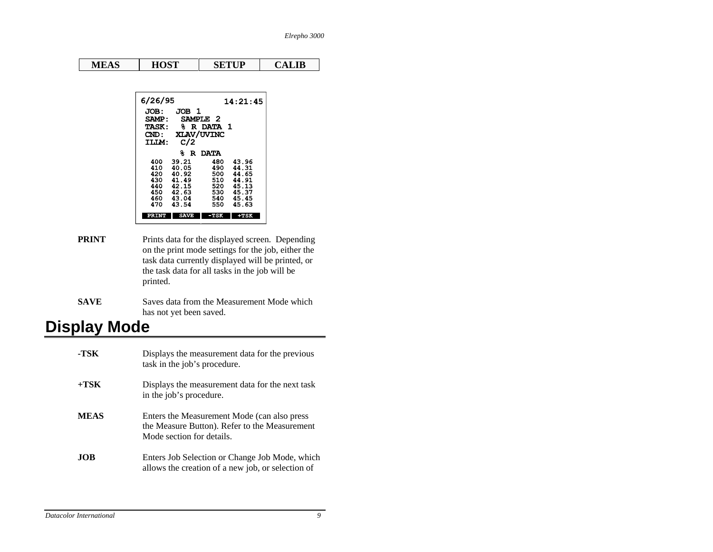| HOST<br><b>SETUP</b><br>CALIB<br><b>MEAS</b> |
|----------------------------------------------|
|----------------------------------------------|

| 6/26/95          |                |            | 14:21:45       |
|------------------|----------------|------------|----------------|
| JOB:             | JOB 1          |            |                |
| SAMP:            |                | SAMPLE 2   |                |
| <b>TASK:</b>     |                | % R DATA 1 |                |
| $\mathbf{CND}$ : |                | XLAV/UVINC |                |
| TLIM:            | C/2            |            |                |
|                  | ℁              | R DATA     |                |
| 400              | 39.21          | 480        | 43.96          |
| 410              | 40.05          | 490        | 44.31          |
| 420<br>430.      | 40.92<br>41.49 | 500<br>510 | 44.65<br>44.91 |
| 440              | 42.15          | 520        | 45.13          |
| 450              | 42.63          | 530        | 45.37          |
| 460              | 43.04          | 540        | 45.45          |
| 470              | 43.54          | 550        | 45.63          |
| PRINT            | <b>SAVE</b>    | -TSK       | $+TSK$         |
|                  |                |            |                |

- **PRINT** Prints data for the displayed screen. Depending on the print mode settings for the job, either the task data currently displayed will be printed, or the task data for all tasks in the job will be printed.
- **SAVE** Saves data from the Measurement Mode which has not yet been saved.

# **Display Mode**

| -TSK        | Displays the measurement data for the previous<br>task in the job's procedure.                                            |
|-------------|---------------------------------------------------------------------------------------------------------------------------|
| $+TSK$      | Displays the measurement data for the next task<br>in the job's procedure.                                                |
| <b>MEAS</b> | Enters the Measurement Mode (can also press<br>the Measure Button). Refer to the Measurement<br>Mode section for details. |
| <b>JOB</b>  | Enters Job Selection or Change Job Mode, which<br>allows the creation of a new job, or selection of                       |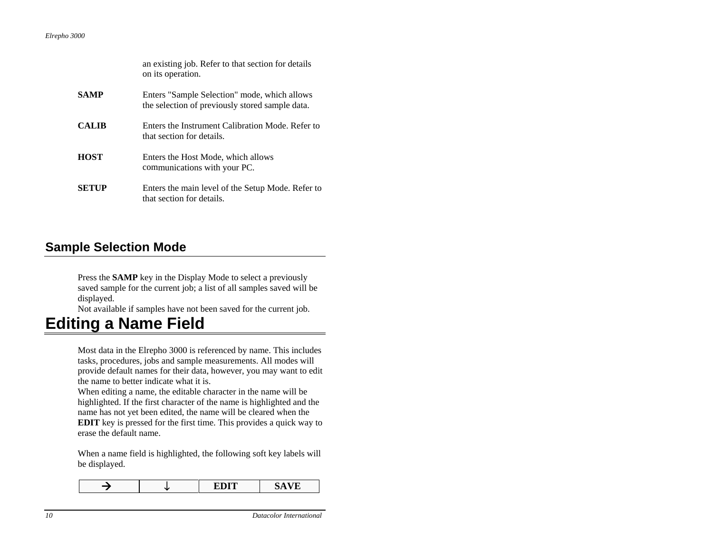|              | an existing job. Refer to that section for details<br>on its operation.                         |
|--------------|-------------------------------------------------------------------------------------------------|
| <b>SAMP</b>  | Enters "Sample Selection" mode, which allows<br>the selection of previously stored sample data. |
| <b>CALIB</b> | Enters the Instrument Calibration Mode. Refer to<br>that section for details.                   |
| <b>HOST</b>  | Enters the Host Mode, which allows<br>communications with your PC.                              |
| SETUP        | Enters the main level of the Setup Mode. Refer to<br>that section for details.                  |

### **Sample Selection Mode**

saved sample for the current job; a list of all samples saved will be Press the **SAMP** key in the Display Mode to select a previously displayed.

Not available if samples have not been saved for the current job.

## **Editing a Name Field**

provide default names for their data, however, you may want to edit Most data in the Elrepho 3000 is referenced by name. This includes tasks, procedures, jobs and sample measurements. All modes will the name to better indicate what it is.

**EDIT** key is pressed for the first time. This provides a quick way to When editing a name, the editable character in the name will be highlighted. If the first character of the name is highlighted and the name has not yet been edited, the name will be cleared when the erase the default name.

When a name field is highlighted, the following soft key labels will be displayed.

|--|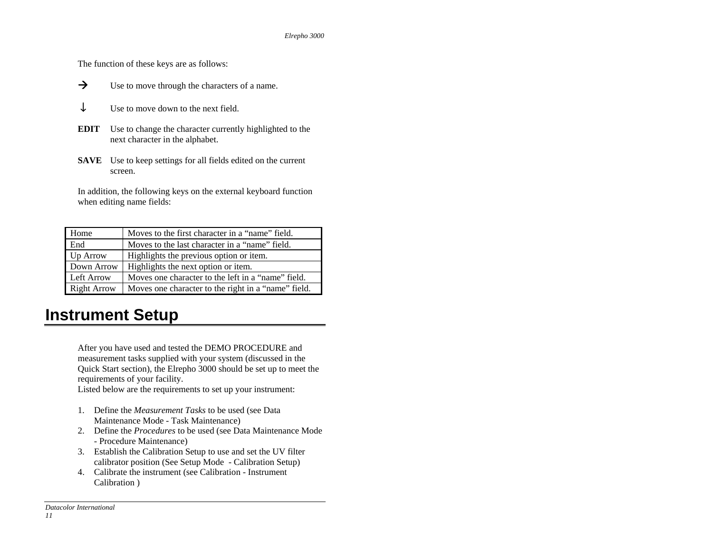The function of these keys are as follows:

- $\rightarrow$  Use to move through the characters of a name.  $\rightarrow$
- ↓Use to move down to the next field.
- **EDIT** Use to change the character currently highlighted to the next character in the alphabet.
- **SAVE** Use to keep settings for all fields edited on the current screen.

In addition, the following keys on the external keyboard function when editing name fields:

| Home               | Moves to the first character in a "name" field.     |
|--------------------|-----------------------------------------------------|
| End                | Moves to the last character in a "name" field.      |
| Up Arrow           | Highlights the previous option or item.             |
| Down Arrow         | Highlights the next option or item.                 |
| Left Arrow         | Moves one character to the left in a "name" field.  |
| <b>Right Arrow</b> | Moves one character to the right in a "name" field. |

# **Instrument Setup**

After you have used and tested the DEMO PROCEDURE and measurement tasks supplied with your system (discussed in the Quick Start section), the Elrepho 3000 should be set up to me et the requirements of your facility.

Listed below are the requirements to set up your instrument:

- 1. Define the *Measurement Tasks* to be used (see Data Maintenance Mode - Task Maintenance)
- 2. Define the *Procedures* to be used (see Data Maintenance Mode - Procedure Maintenance)
- calibrator position (See Setup Mode Calibration Setup) 3. Establish the Calibration Setup to use and set the UV filter
- 4. Calibrate the instrument (see Calibration Instrument Calibration )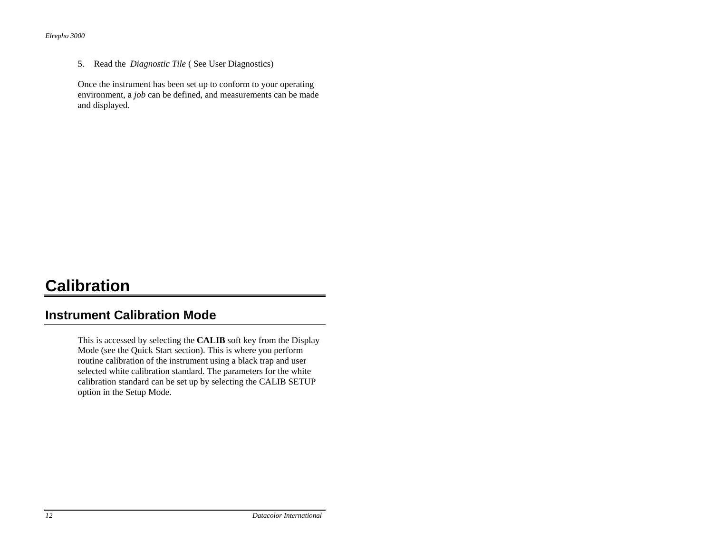5. Read the *Diagnostic Tile* ( See User Diagnostics)

Once the instrument has been set up to conform to your operating environment, a *job* can be defined, and measurements can be made and displayed.

# **Calibration**

### **Instrument Calibration Mode**

This is accessed by selecting the **CALIB** soft key from the Display calibration standard can be set up by selecting the CALIB SETUP option in the Setup Mode. Mode (see the Quick Start section). This is where you perform routine calibration of the instrument using a black trap and user selected white calibration standard. The parameters for the white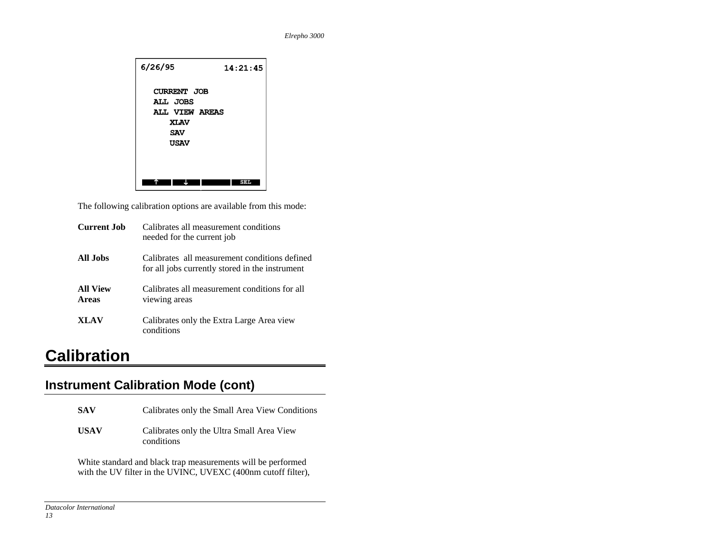

The following calibration options are available from this mode:

| Current Job                     | Calibrates all measurement conditions<br>needed for the current job                              |
|---------------------------------|--------------------------------------------------------------------------------------------------|
| All Jobs                        | Calibrates all measurement conditions defined<br>for all jobs currently stored in the instrument |
| <b>All View</b><br><b>Areas</b> | Calibrates all measurement conditions for all<br>viewing areas                                   |
| <b>XLAV</b>                     | Calibrates only the Extra Large Area view<br>conditions                                          |

# **Calibration**

## **Instrument Calibration Mode (cont)**

| <b>SAV</b>  | Calibrates only the Small Area View Conditions          |
|-------------|---------------------------------------------------------|
| <b>USAV</b> | Calibrates only the Ultra Small Area View<br>conditions |

White standard and black trap measurements will be performed with the UV filter in the UVINC, UVEXC (400nm cutoff filter),

*Datacolor International*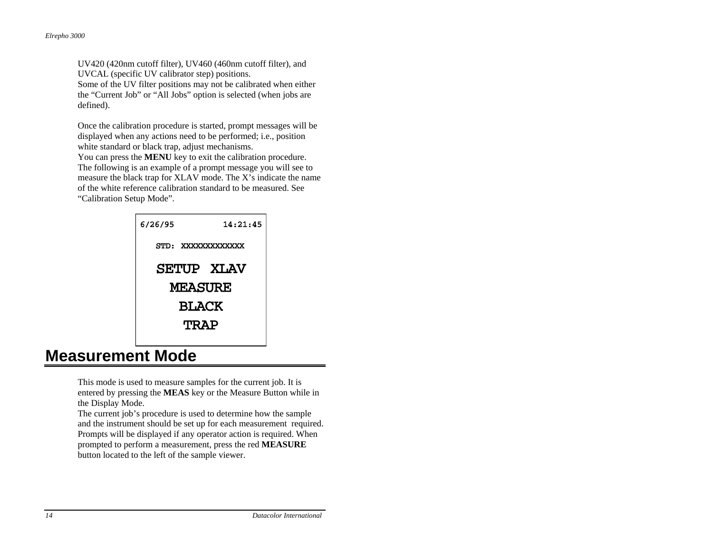UV420 (420nm cutoff filter), UV460 (460nm cutoff filter), and UVCAL (specific UV calibrator step) positions. Some of the UV filter positions may not be calibrated when either

the "Current Job" or "All Jobs" option is selected (when jobs are defined).

Once the calibration procedure is started, prompt messages will be displayed when any actions need to be performed; i.e., position white standard or black trap, adjust mechanisms.

You can press the **MENU** key to exit the calibration procedure. The following is an example of a prompt message you will see to measure the black trap for XLAV mode. The X's indicate the name of the white reference calibration standard to be measured. See "Calibration Setup Mode".



## **Measurement Mode**

This mode is used to measure samples for the current job. It is entered by pressing the **MEAS** key or the Measure Button while in the Display Mode.

The current job's procedure is used to determine how the sample and the instrument should be set up for each measurement required. Prompts will be displayed if any operator action is required. When prompted to perform a measurement, press the red **MEASURE**  button located to the left of the sample viewer.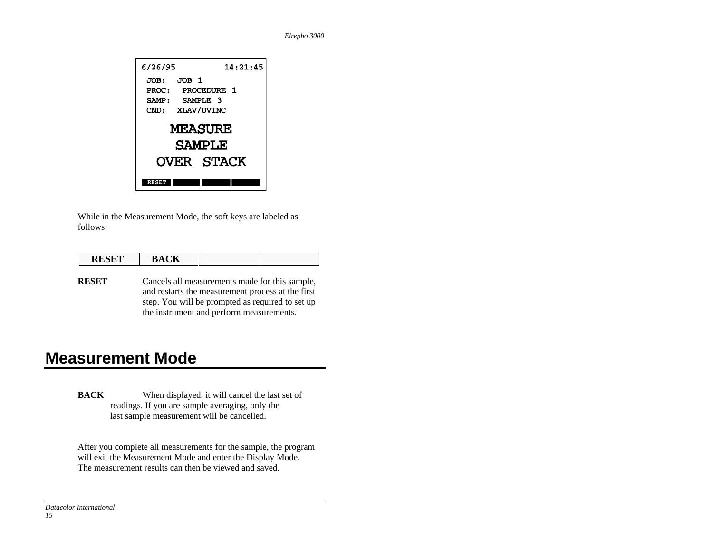

While in the Measurement Mode, the soft keys are labeled as follows:

| <b>DECED</b><br>$\sim$ | $- - -$<br>$\prime$<br><b>DIAVIA</b> |  |
|------------------------|--------------------------------------|--|
|                        |                                      |  |

**RESET** Cancels all measurements made for this sample, and restarts the measurement process at the first step. You will be prompted as required to set up the instrument and perform measurements.

# **Measurement Mode**

**BACK** When displayed, it will cancel the last set of readings. If you are sample averaging, only the last sample measurement will be cancelled.

After you complete all measurements for the sample, the program will exit the Measurement Mode and enter the Display Mode. The measurement results can then be viewed and saved.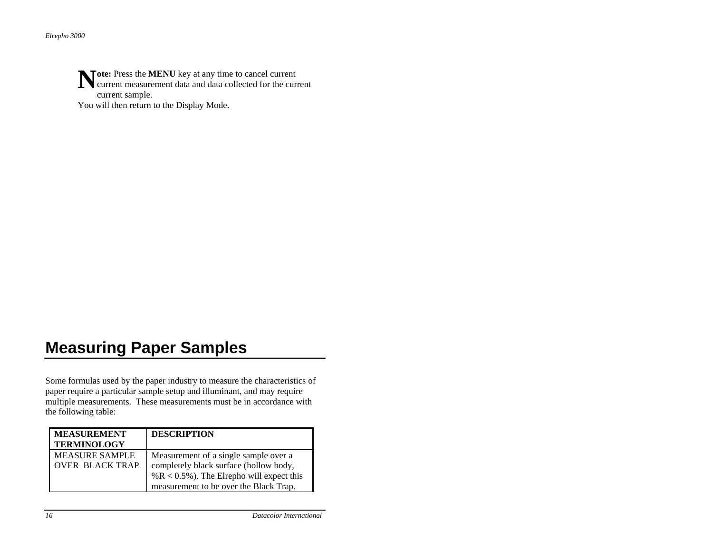**ote:** Press the **MENU** key at any time to cancel current Note: Press the MENU key at any time to cancel current current measurement data and data collected for the current current sample. You will then return to the Display Mode.

# **Measuring Paper Samples**

Some formulas used by the paper industry to measure the characteristics of paper require a particular sample setup and illuminant, and may require multiple measurements. These measurements must be in accordance with the following table:

| <b>MEASUREMENT</b><br><b>TERMINOLOGY</b>        | <b>DESCRIPTION</b>                                                                                                                                                        |
|-------------------------------------------------|---------------------------------------------------------------------------------------------------------------------------------------------------------------------------|
| <b>MEASURE SAMPLE</b><br><b>OVER BLACK TRAP</b> | Measurement of a single sample over a<br>completely black surface (hollow body,<br>% $R < 0.5$ %). The Elrepho will expect this<br>measurement to be over the Black Trap. |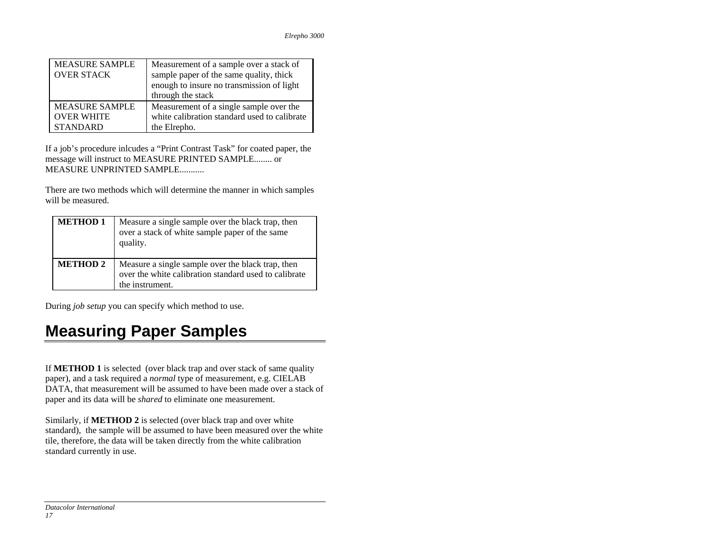| <b>MEASURE SAMPLE</b> | Measurement of a sample over a stack of      |
|-----------------------|----------------------------------------------|
| <b>OVER STACK</b>     | sample paper of the same quality, thick      |
|                       | enough to insure no transmission of light    |
|                       | through the stack                            |
| <b>MEASURE SAMPLE</b> | Measurement of a single sample over the      |
| <b>OVER WHITE</b>     | white calibration standard used to calibrate |
| <b>STANDARD</b>       | the Elrepho.                                 |

If a job's procedure inlcudes a "Print Contrast Task" for coated paper, the message will instruct to MEASURE PRINTED SAMPLE........ or MEASURE UNPRINTED SAMPLE...........

There are two methods which will determine the manner in which samples will be measured.

| <b>METHOD 1</b> | Measure a single sample over the black trap, then<br>over a stack of white sample paper of the same<br>quality.               |
|-----------------|-------------------------------------------------------------------------------------------------------------------------------|
| <b>METHOD 2</b> | Measure a single sample over the black trap, then<br>over the white calibration standard used to calibrate<br>the instrument. |

During *job setup* you can specify which method to use.

# **Measuring Paper Samples**

If **METHOD 1** is selected (over black trap and over stack of same quality paper), and a task required a *normal* type of measurement, e.g. CIELAB DATA, that measurement will be assumed to have been made over a stack of paper and its data will be *shared* to eliminate one measurement.

Similarly, if **METHOD 2** is selected (over black trap and over white standard), the sample will be assumed to have been measured over the white tile, therefore, the data will be taken directly from the white calibration standard currently in use.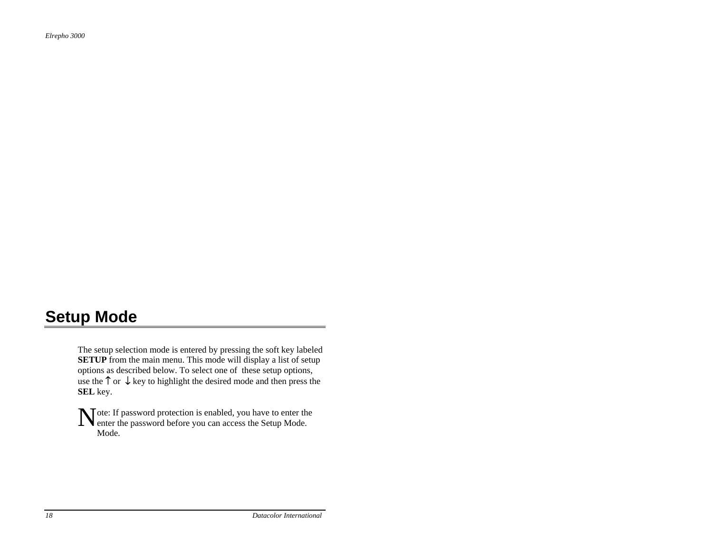# **Setup Mode**

The setup selection mode is entered by pressing the soft key labeled **SETUP** from the main menu. This mode will display a list of setup options as described below. To select one of these setup options, use the  $\uparrow$  or  $\downarrow$  key to highlight the desired mode and then press the **SEL** key.

ote: If password protection is enabled, you have to enter the Note: If password protection is enabled, you have to enter the password before you can access the Setup Mode. Mode.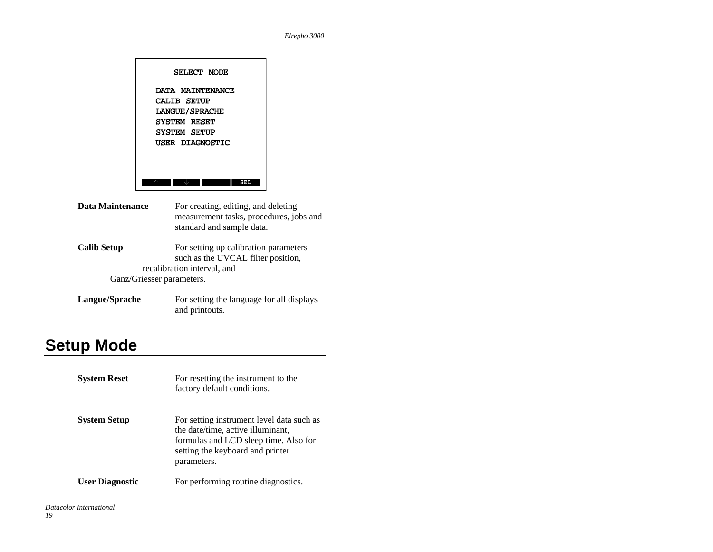

- **Data Maintenance** For creating, editing, and deleting measurement tasks, procedures, jobs and standard and sample data.
- **Calib Setup** For setting up calibration parameters such as the UVCAL filter position, recalibration interval, and Ganz/Griesser parameters.
- **Langue/Sprache** For setting the language for all displays and printouts.

# **Setup Mode**

| <b>System Reset</b>    | For resetting the instrument to the<br>factory default conditions.                                                                                                         |
|------------------------|----------------------------------------------------------------------------------------------------------------------------------------------------------------------------|
| <b>System Setup</b>    | For setting instrument level data such as<br>the date/time, active illuminant,<br>formulas and LCD sleep time. Also for<br>setting the keyboard and printer<br>parameters. |
| <b>User Diagnostic</b> | For performing routine diagnostics.                                                                                                                                        |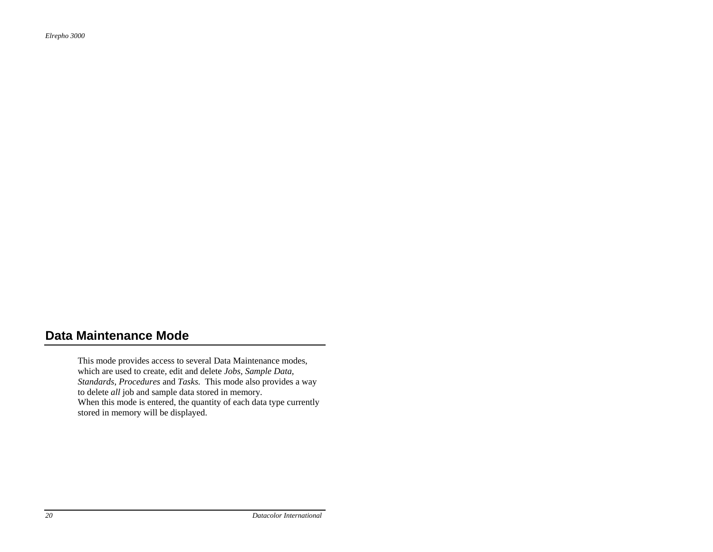## **Data Maintenance Mode**

This mode provides access to several Data Maintenance modes, which are used to create, edit and delete *Jobs, Sample Data, Standards*, *Procedures* and *Tasks.* This mode also provides a way to delete *all* job and sample data stored in memory. When this mode is entered, the quantity of each data type currently stored in memory will be displayed.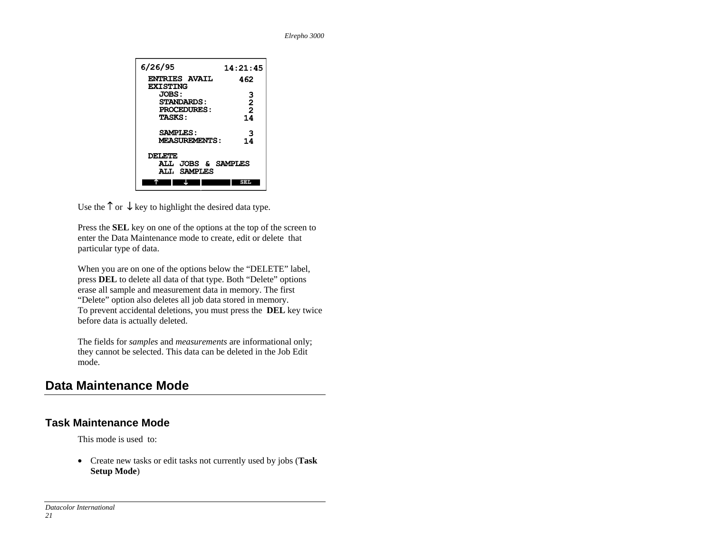

Use the  $\uparrow$  or  $\downarrow$  key to highlight the desired data type.

Press the **SEL** key on one of the options at the top of the screen to enter the Data Maintenance mode to create, edit or delete that particular type of data.

When you are on one of the options below the "DELETE" label, press **DEL** to delete all data of that type. Both "Delete" options erase all sample and measurement data in memory. The first "Delete" option also deletes all job data stored in memory. To prevent accidental deletions, you must press the **DEL** key twice before data is actually deleted.

The fields for *samples* and *measurements* are informational only; they cannot be selected. This data can be deleted in the Job Edit mode.

## **Data Maintenance Mode**

### **Task Maintenance Mode**

This mode is used to:

• Create new tasks or edit tasks not currently used by jobs (**Task Setup Mode**)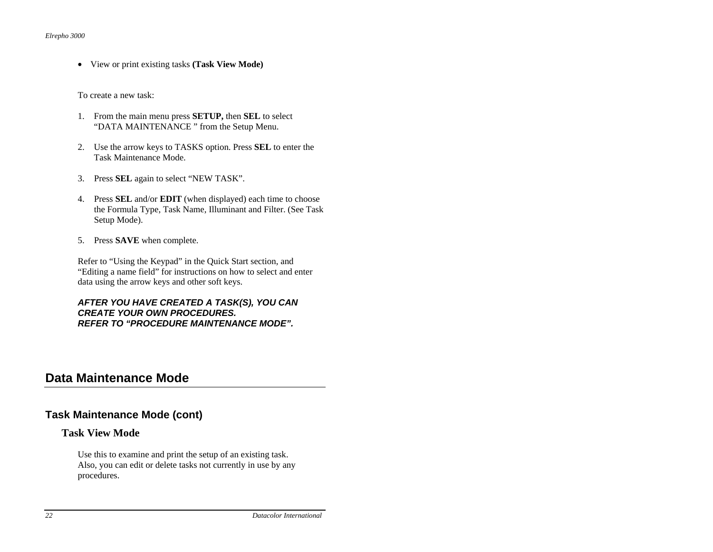• View or print existing tasks **(Task View Mode)**

To create a new task:

- 1. From the main menu press **SETUP,** then **SEL** to select "DATA MAINTENANCE " from the Setup Menu.
- 2. Use the arrow keys to TASKS option. Press **SEL** to enter the Task Maintenance Mode.
- 3. Press **SEL** again to select "NEW TASK".
- 4. Press **SEL** and/or **EDIT** (when displayed) each time to choose the Formula Type, Task Name, Illuminant and Filter. (See Task Setup Mode).
- 5. Press **SAVE** when complete.

Refer to "Using the Keypad" in the Quick Start section, and "Editing a name field" for instructions on how to select and enter data using the arrow keys and other soft keys.

#### *AFTER YOU HAVE CREATED A TASK(S), YOU CAN CREATE YOUR OWN PROCEDURES. REFER TO "PROCEDURE MAINTENANCE MODE".*

### **Data Maintenance Mode**

#### **Task Maintenance Mode (cont)**

#### **Task View Mode**

Use this to examine and print the setup of an existing task. Also, you can edit or delete tasks not currently in use by any procedures.

*22 Datacolor International*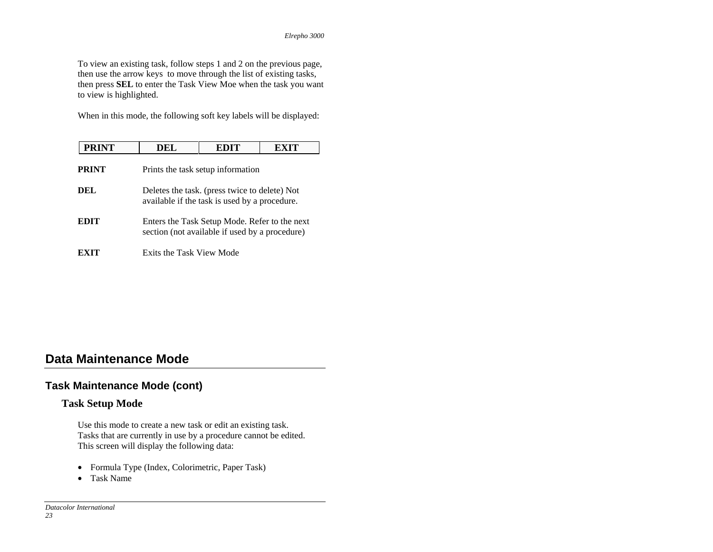To view an existing task, follow steps 1 and 2 on the previous page, then use the arrow keys to move through the list of existing tasks, then press **SEL** to enter the Task View Moe when the task you want to view is highlighted.

When in this mode, the following soft key labels will be displayed:

| <b>PRINT</b> | DEL                      | EDIT                                                                                            |  |
|--------------|--------------------------|-------------------------------------------------------------------------------------------------|--|
| <b>PRINT</b> |                          | Prints the task setup information                                                               |  |
| DEL.         |                          | Deletes the task. (press twice to delete) Not<br>available if the task is used by a procedure.  |  |
| EDIT         |                          | Enters the Task Setup Mode. Refer to the next<br>section (not available if used by a procedure) |  |
|              | Exits the Task View Mode |                                                                                                 |  |

## **Data Maintenance Mode**

#### **Task Maintenance Mode (cont)**

#### **Task Setup Mode**

Use this mode to create a new task or edit an existing task. Tasks that are currently in use by a procedure cannot be edited. This screen will display the following data:

- Formula Type (Index, Colorimetric, Paper Task)
- Task Name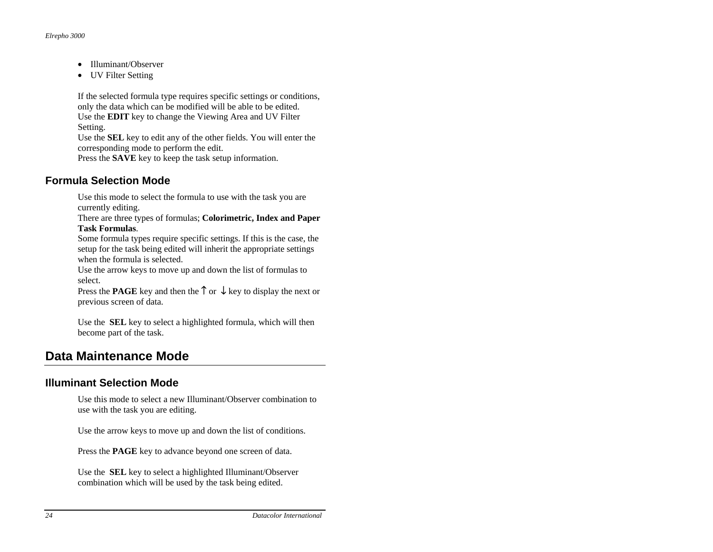- Illuminant/Observer
- UV Filter Setting

If the selected formula type requires specific settings or conditions, only the data which can be modified will be able to be edited. Use the **EDIT** key to change the Viewing Area and UV Filter Setting.

Use the **SEL** key to edit any of the other fields. You will enter the corresponding mode to perform the edit.

Press the **SAVE** key to keep the task setup information.

#### **Formula Selection Mode**

Use this mode to select the formula to use with the task you are currently editing.

There are three types of formulas; **Colorimetric, Index and Paper Task Formulas**.

Some formula types require specific settings. If this is the case, the setup for the task being edited will inherit the appropriate settings when the formula is selected.

Use the arrow keys to move up and down the list of formulas to select.

Press the **PAGE** key and then the ↑ or ↓ key to display the next or previous screen of data.

Use the **SEL** key to select a highlighted formula, which will then become part of the task.

## **Data Maintenance Mode**

#### **Illuminant Selection Mode**

Use this mode to select a new Illuminant/Observer combination to use with the task you are editing.

Use the arrow keys to move up and down the list of conditions.

Press the **PAGE** key to advance beyond one screen of data.

Use the **SEL** key to select a highlighted Illuminant/Observer combination which will be used by the task being edited.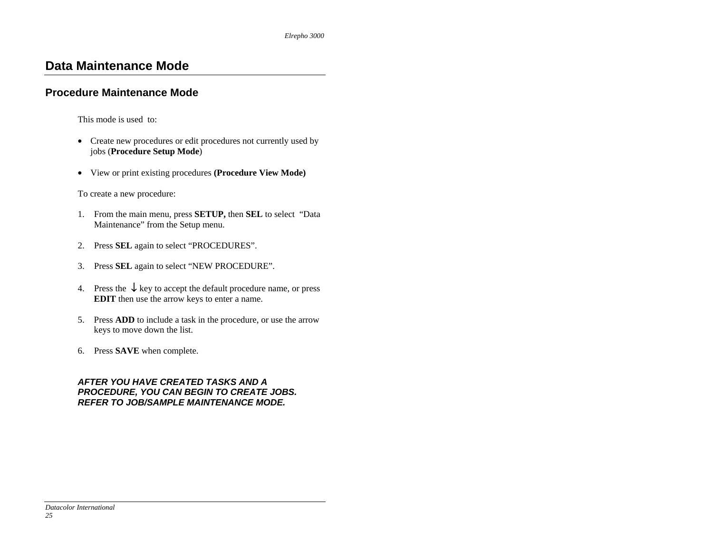#### **Procedure Maintenance Mode**

This mode is used to:

- Create new procedures or edit procedures not currently used by jobs (**Procedure Setup Mode**)
- View or print existing procedures **(Procedure View Mode)**

To create a new procedure:

- 1. From the main menu, press **SETUP,** then **SEL** to select "Data Maintenance" from the Setup menu.
- 2. Press **SEL** again to select "PROCEDURES".
- 3. Press **SEL** again to select "NEW PROCEDURE".
- 4. Press the  $\downarrow$  key to accept the default procedure name, or press **EDIT** then use the arrow keys to enter a name.
- 5. Press **ADD** to include a task in the procedure, or use the arrow keys to move down the list.
- 6. Press **SAVE** when complete.

#### *AFTER YOU HAVE CREATED TASKS AND A PROCEDURE, YOU CAN BEGIN TO CREATE JOBS. REFER TO JOB/SAMPLE MAINTENANCE MODE.*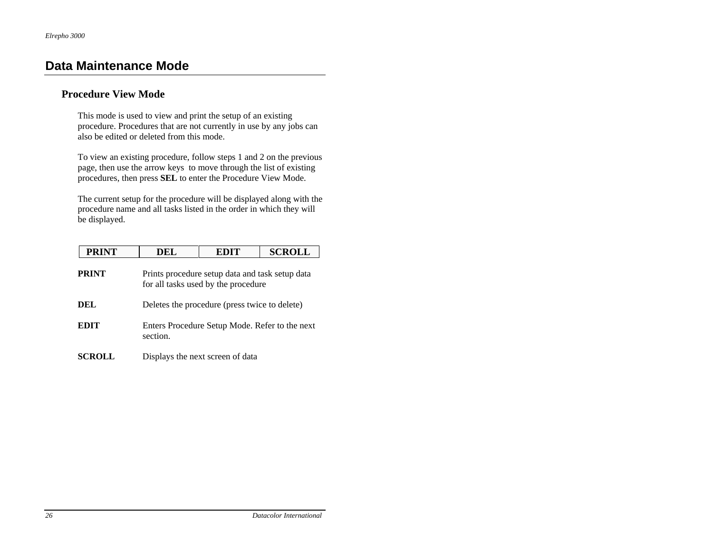#### **Procedure View Mode**

This mode is used to view and print the setup of an existing procedure. Procedures that are not currently in use by any jobs can also be edited or deleted from this mode.

To view an existing procedure, follow steps 1 and 2 on the previous page, then use the arrow keys to move through the list of existing procedures, then press **SEL** to enter the Procedure View Mode.

The current setup for the procedure will be displayed along with the procedure name and all tasks listed in the order in which they will be displayed.

| <b>PRINT</b>  | DEL      | <b>EDIT</b>                                                                            | <b>SCROLL</b> |
|---------------|----------|----------------------------------------------------------------------------------------|---------------|
| <b>PRINT</b>  |          | Prints procedure setup data and task setup data<br>for all tasks used by the procedure |               |
| DEL           |          | Deletes the procedure (press twice to delete)                                          |               |
| <b>EDIT</b>   | section. | Enters Procedure Setup Mode. Refer to the next                                         |               |
| <b>SCROLL</b> |          | Displays the next screen of data                                                       |               |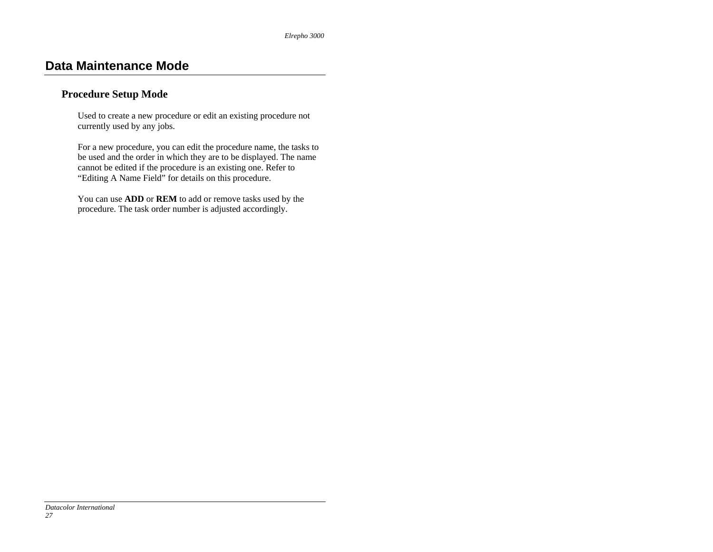#### **Procedure Setup Mode**

Used to create a new procedure or edit an existing procedure not currently used by any jobs.

For a new procedure, you can edit the procedure name, the tasks to be used and the order in which they are to be displayed. The name cannot be edited if the procedure is an existing one. Refer to "Editing A Name Field" for details on this procedure.

You can use **ADD** or **REM** to add or remove tasks used by the procedure. The task order number is adjusted accordingly.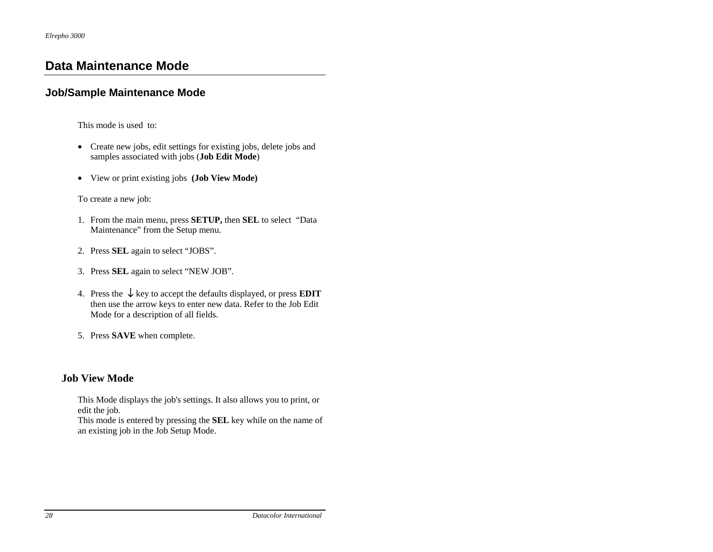#### **Job/Sample Maintenance Mode**

This mode is used to:

- Create new jobs, edit settings for existing jobs, delete jobs and samples associated with jobs (**Job Edit Mode**)
- View or print existing jobs **(Job View Mode)**

To create a new job:

- 1. From the main menu, press **SETUP,** then **SEL** to select "Data Maintenance" from the Setup menu.
- 2. Press **SEL** again to select "JOBS".
- 3. Press **SEL** again to select "NEW JOB".
- 4. Press the ↓ key to accept the defaults displayed, or press **EDIT** then use the arrow keys to enter new data. Refer to the Job Edit Mode for a description of all fields.
- 5. Press **SAVE** when complete.

#### **Job View Mode**

This Mode displays the job's settings. It also allows you to print, or edit the job*.* 

This mode is entered by pressing the **SEL** key while on the name of an existing job in the Job Setup Mode.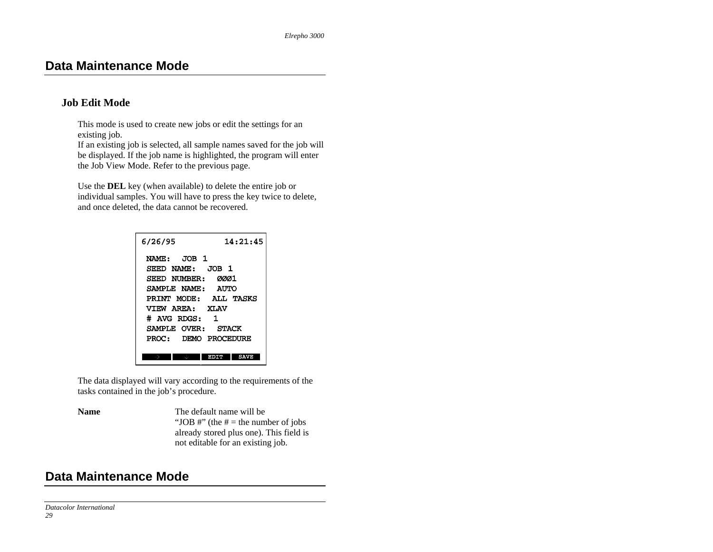#### **Job Edit Mode**

This mode is used to create new jobs or edit the settings for an existing job.

If an existing job is selected, all sample names saved for the job will be displayed. If the job name is highlighted, the program will enter the Job View Mode. Refer to the previous page.

Use the **DEL** key (when available) to delete the entire job or individual samples. You will have to press the key twice to delete, and once deleted, the data cannot be recovered.

| 14:21:45<br>6/26/95                           |
|-----------------------------------------------|
| NAME: JOB 1<br>SEED NAME: JOB 1               |
| SEED NUMBER:<br>ØØØ1<br>SAMPLE NAME:<br>AUTO  |
| PRINT MODE: ALL TASKS<br>VTEW AREA: XLAV      |
| # AVG RDGS:<br>1                              |
| SAMPLE OVER:<br>STACK<br>PROC: DEMO PROCEDURE |
| вотл                                          |

The data displayed will vary according to the requirements of the tasks contained in the job's procedure.

**Name** The default name will be "JOB  $\#$ " (the  $\#$  = the number of jobs already stored plus one). This field is not editable for an existing job.

### **Data Maintenance Mode**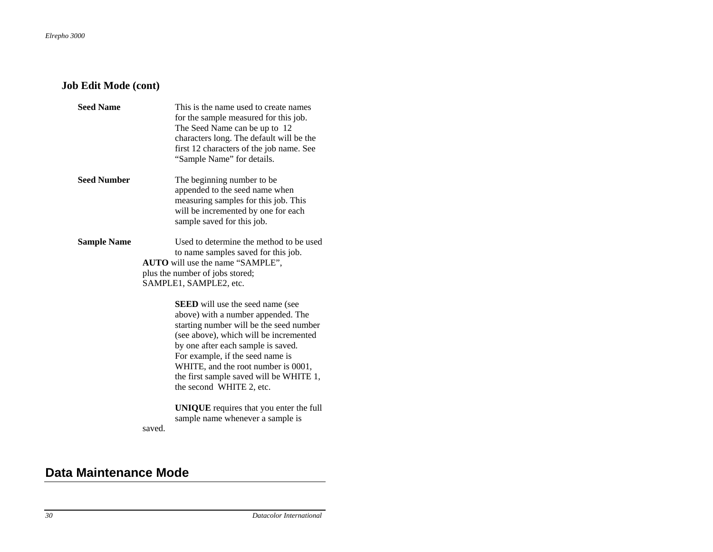### **Job Edit Mode (cont)**

| <b>Seed Name</b>   | This is the name used to create names<br>for the sample measured for this job.<br>The Seed Name can be up to 12<br>characters long. The default will be the<br>first 12 characters of the job name. See<br>"Sample Name" for details.                                                                                                                      |
|--------------------|------------------------------------------------------------------------------------------------------------------------------------------------------------------------------------------------------------------------------------------------------------------------------------------------------------------------------------------------------------|
| <b>Seed Number</b> | The beginning number to be.<br>appended to the seed name when<br>measuring samples for this job. This<br>will be incremented by one for each<br>sample saved for this job.                                                                                                                                                                                 |
| <b>Sample Name</b> | Used to determine the method to be used<br>to name samples saved for this job.<br>AUTO will use the name "SAMPLE",<br>plus the number of jobs stored;<br>SAMPLE1, SAMPLE2, etc.                                                                                                                                                                            |
|                    | <b>SEED</b> will use the seed name (see<br>above) with a number appended. The<br>starting number will be the seed number<br>(see above), which will be incremented<br>by one after each sample is saved.<br>For example, if the seed name is<br>WHITE, and the root number is 0001,<br>the first sample saved will be WHITE 1,<br>the second WHITE 2, etc. |
|                    | <b>UNIQUE</b> requires that you enter the full<br>sample name whenever a sample is<br>saved.                                                                                                                                                                                                                                                               |

### **Data Maintenance Mode**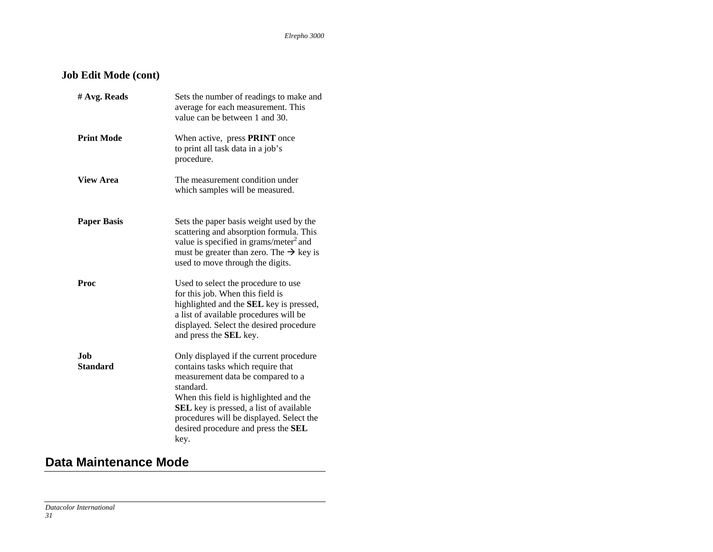### **Job Edit Mode (cont)**

| # Avg. Reads            | Sets the number of readings to make and<br>average for each measurement. This<br>value can be between 1 and 30.                                                                                                                                                                                                       |
|-------------------------|-----------------------------------------------------------------------------------------------------------------------------------------------------------------------------------------------------------------------------------------------------------------------------------------------------------------------|
| <b>Print Mode</b>       | When active, press <b>PRINT</b> once<br>to print all task data in a job's<br>procedure.                                                                                                                                                                                                                               |
| <b>View Area</b>        | The measurement condition under<br>which samples will be measured.                                                                                                                                                                                                                                                    |
| <b>Paper Basis</b>      | Sets the paper basis weight used by the<br>scattering and absorption formula. This<br>value is specified in grams/meter <sup>2</sup> and<br>must be greater than zero. The $\rightarrow$ key is<br>used to move through the digits.                                                                                   |
| Proc                    | Used to select the procedure to use<br>for this job. When this field is<br>highlighted and the <b>SEL</b> key is pressed,<br>a list of available procedures will be<br>displayed. Select the desired procedure<br>and press the SEL key.                                                                              |
| .Iob<br><b>Standard</b> | Only displayed if the current procedure<br>contains tasks which require that<br>measurement data be compared to a<br>standard.<br>When this field is highlighted and the<br><b>SEL</b> key is pressed, a list of available<br>procedures will be displayed. Select the<br>desired procedure and press the SEL<br>key. |

### **Data Maintenance Mode**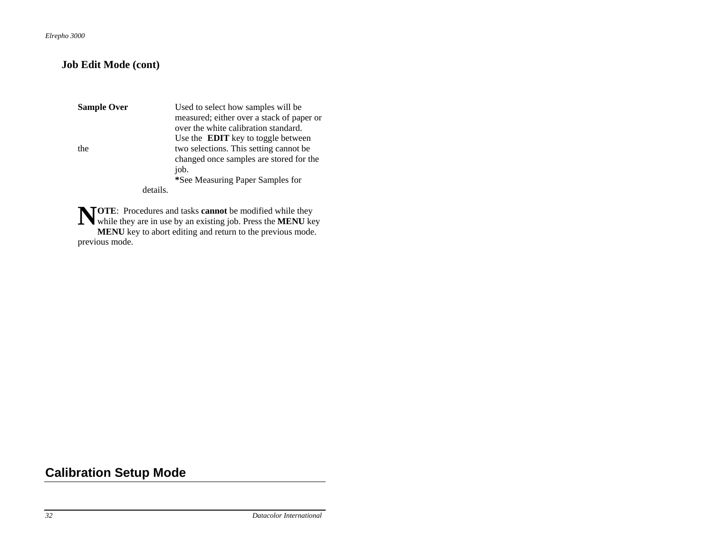#### **Job Edit Mode (cont)**

**Sample Over Used to select how samples will be**  measured; either over a stack of paper or over the white calibration standard. Use the **EDIT** key to toggle between the two selections. This setting cannot be changed once samples are stored for the job.  **\***See Measuring Paper Samples for details.

**NTOTE:** Procedures and tasks **cannot** be modified while they **NOTE:** Procedures and tasks **cannot** be modified while they while they are in use by an existing job. Press the **MENU** key **MENU** key to abort editing and return to the previous mode. previous mode.

## **Calibration Setup Mode**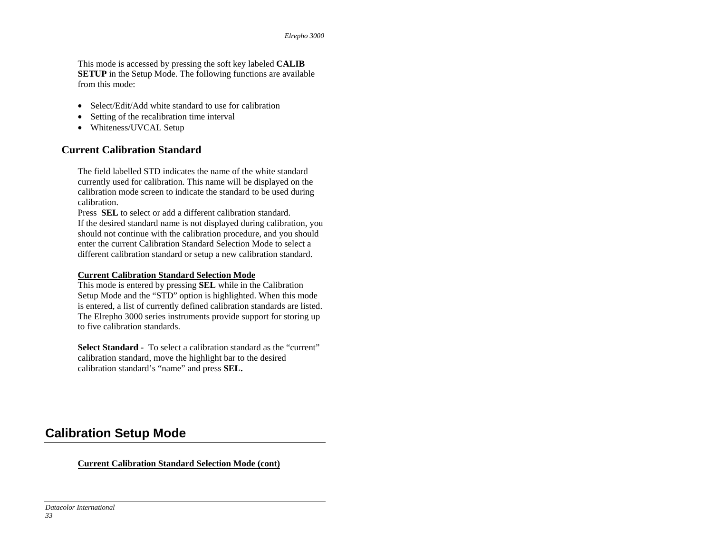This mode is accessed by pressing the soft key labeled **CALIB SETUP** in the Setup Mode. The following functions are available from this mode:

- Select/Edit/Add white standard to use for calibration
- •Setting of the recalibration time interval
- Whiteness/UVCAL Setup

#### **Current Calibration Standard**

The field labelled STD indicates the name of the white standard currently used for calibration. This name will be displayed on the calibration mode screen to indicate the standard to be used during calibration.

Press **SEL** to select or add a different calibration standard.

If the desired standard name is not displayed during calibration, you should not continue with the calibration procedure, and you should enter the current Calibration Standard Selection Mode to select a different calibration standard or setup a new calibration standard.

#### **Current Calibration Standard Selection Mode**

This mode is entered by pressing **SEL** while in the Calibration Setup Mode and the "STD" option is highlighted. When this mode is entered, a list of currently defined calibration standards are listed. The Elrepho 3000 series instruments provide support for storing up to five calibration standards.

**Select Standard -** To select a calibration standard as the "current" calibration standard, move the highlight bar to the desired calibration standard's "name" and press **SEL.** 

### **Calibration Setup Mode**

**Current Calibration Standard Selection Mode (cont)**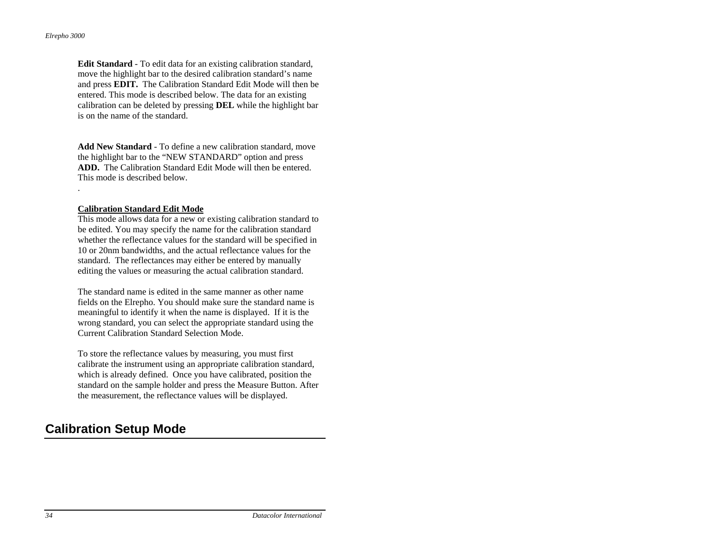.

**Edit Standard** - To edit data for an existing calibration standard, move the highlight bar to the desired calibration standard's name and press **EDIT.** The Calibration Standard Edit Mode will then be entered. This mode is described below. The data for an existing calibration can be deleted by pressing **DEL** while the highlight bar is on the name of the standard.

**Add New Standard** - To define a new calibration standard, move the highlight bar to the "NEW STANDARD" option and press **ADD.** The Calibration Standard Edit Mode will then be entered. This mode is described below.

#### **Calibration Standard Edit Mode**

This mode allows data for a new or existing calibration standard to be edited. You may specify the name for the calibration standard whether the reflectance values for the standard will be specified in 10 or 20nm bandwidths, and the actual reflectance values for the standard. The reflectances may either be entered by manually editing the values or measuring the actual calibration standard.

The standard name is edited in the same manner as other name fields on the Elrepho. You should make sure the standard name is meaningful to identify it when the name is displayed. If it is the wrong standard, you can select the appropriate standard using the Current Calibration Standard Selection Mode.

To store the reflectance values by measuring, you must first calibrate the instrument using an appropriate calibration standard, which is already defined. Once you have calibrated, position the standard on the sample holder and press the Measure Button. After the measurement, the reflectance values will be displayed.

### **Calibration Setup Mode**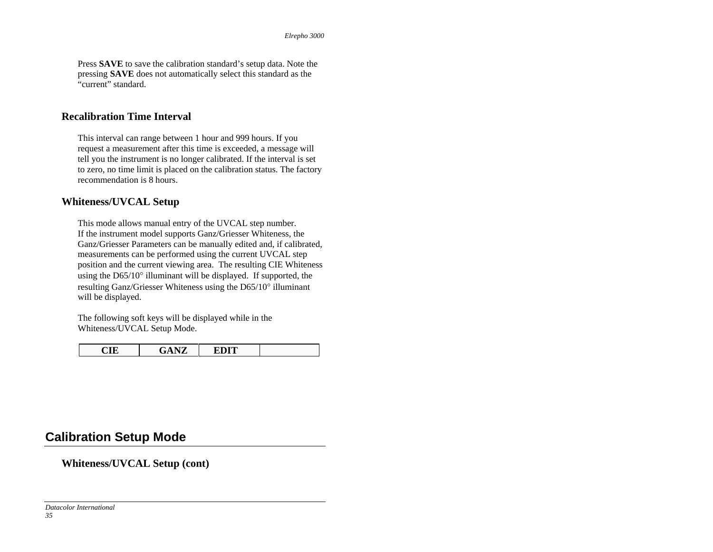Press **SAVE** to save the calibration standard's setup data. Note the pressing **SAVE** does not automatically select this standard as the "current" standard.

#### **Recalibration Time Interval**

This interval can range between 1 hour and 999 hours. If you request a measurement after this time is exceeded, a message will tell you the instrument is no longer calibrated. If the interval is set to zero, no time limit is placed on the calibration status. The factory recommendation is 8 hours.

#### **Whiteness/UVCAL Setup**

This mode allows manual entry of the UVCAL step number. If the instrument model supports Ganz/Griesser Whiteness, the Ganz/Griesser Parameters can be manually edited and, if calibrated, measurements can be performed using the current UVCAL step position and the current viewing area. The resulting CIE Whiteness using the D65/10° illuminant will be displayed. If supported, the resulting Ganz/Griesser Whiteness using the D65/10° illuminant will be displayed.

The following soft keys will be displayed while in the Whiteness/UVCAL Setup Mode.

| V<br>. |
|--------|
|--------|

### **Calibration Setup Mode**

#### **Whiteness/UVCAL Setup (cont)**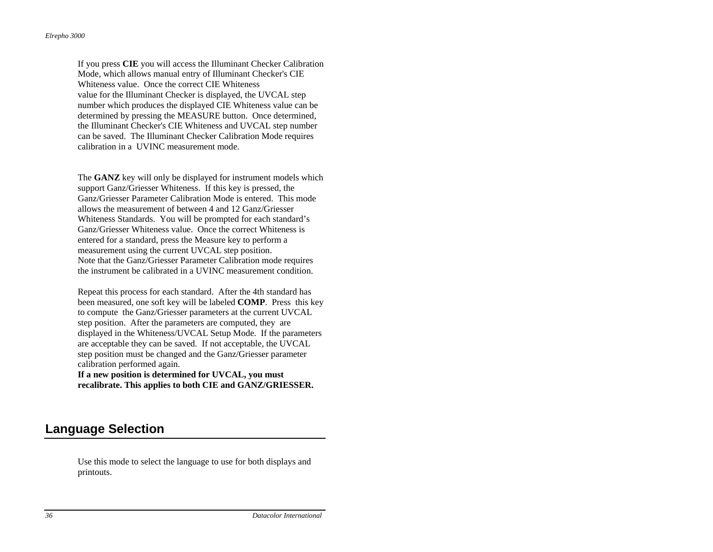If you press **CIE** you will access the Illuminant Checker Calibration Mode, which allows manual entry of Illuminant Checker's CIE Whiteness value. Once the correct CIE Whiteness value for the Illuminant Checker is displayed, the UVCAL step number which produces the displayed CIE Whiteness value can be determined by pressing the MEASURE button. Once determined, the Illuminant Checker's CIE Whiteness and UVCAL step number can be saved. The Illuminant Checker Calibration Mode requires calibration in a UVINC measurement mode.

The **GANZ** key will only be displayed for instrument models which support Ganz/Griesser Whiteness. If this key is pressed, the Ganz/Griesser Parameter Calibration Mode is entered. This mode allows the measurement of between 4 and 12 Ganz/Griesser Whiteness Standards. You will be prompted for each standard's Ganz/Griesser Whiteness value. Once the correct Whiteness is entered for a standard, press the Measure key to perform a measurement using the current UVCAL step position. Note that the Ganz/Griesser Parameter Calibration mode requires the instrument be calibrated in a UVINC measurement condition.

Repeat this process for each standard. After the 4th standard has been measured, one soft key will be labeled **COMP**. Press this key to compute the Ganz/Griesser parameters at the current UVCAL step position. After the parameters are computed, they are displayed in the Whiteness/UVCAL Setup Mode. If the parameters are acceptable they can be saved. If not acceptable, the UVCAL step position must be changed and the Ganz/Griesser parameter calibration performed again.

**If a new position is determined for UVCAL, you must recalibrate. This applies to both CIE and GANZ/GRIESSER.**

### **Language Selection**

Use this mode to select the language to use for both displays and printouts.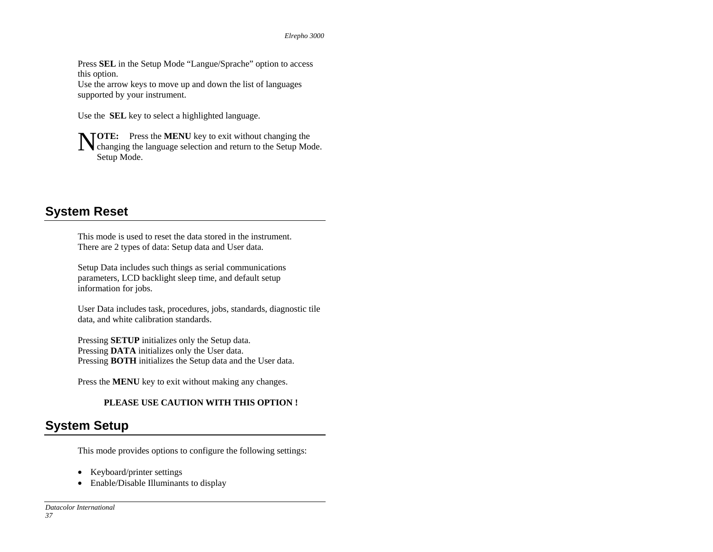Press **SEL** in the Setup Mode "Langue/Sprache" option to access this option.

Use the arrow keys to move up and down the list of languages supported by your instrument.

Use the **SEL** key to select a highlighted language.

**NTOTE:** Press the **MENU** key to exit without changing the **V** changing the language selection and return to the Setup Mode. Setup Mode.

## **System Reset**

This mode is used to reset the data stored in the instrument. There are 2 types of data: Setup data and User data.

Setup Data includes such things as serial communications parameters, LCD backlight sleep time, and default setup information for jobs.

User Data includes task, procedures, jobs, standards, diagnostic tile data, and white calibration standards.

Pressing **SETUP** initializes only the Setup data. Pressing **DATA** initializes only the User data. Pressing **BOTH** initializes the Setup data and the User data.

Press the **MENU** key to exit without making any changes.

### **PLEASE USE CAUTION WITH THIS OPTION !**

## **System Setup**

This mode provides options to configure the following settings:

- Keyboard/printer settings
- Enable/Disable Illuminants to display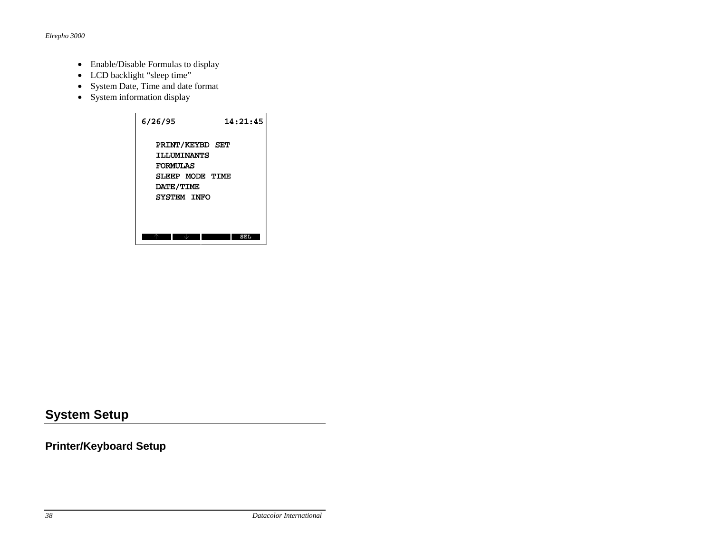- Enable/Disable Formulas to display
- LCD backlight "sleep time"
- System Date, Time and date format
- System information display



## **Printer/Keyboard Setup**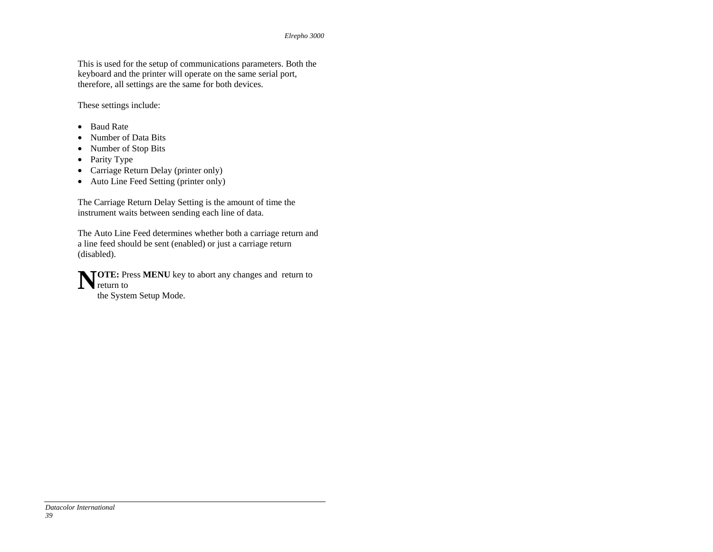This is used for the setup of communications parameters. Both the keyboard and the printer will operate on the same serial port, therefore, all settings are the same for both devices.

These settings include:

- Baud Rate
- Number of Data Bits
- Number of Stop Bits
- Parity Type
- Carriage Return Delay (printer only)
- Auto Line Feed Setting (printer only)

The Carriage Return Delay Setting is the amount of time the instrument waits between sending each line of data.

The Auto Line Feed determines whether both a carriage return and a line feed should be sent (enabled) or just a carriage return (disabled).

**NOTE:** Press **MENU** key to abort any changes and return to return to the System Setup Mode.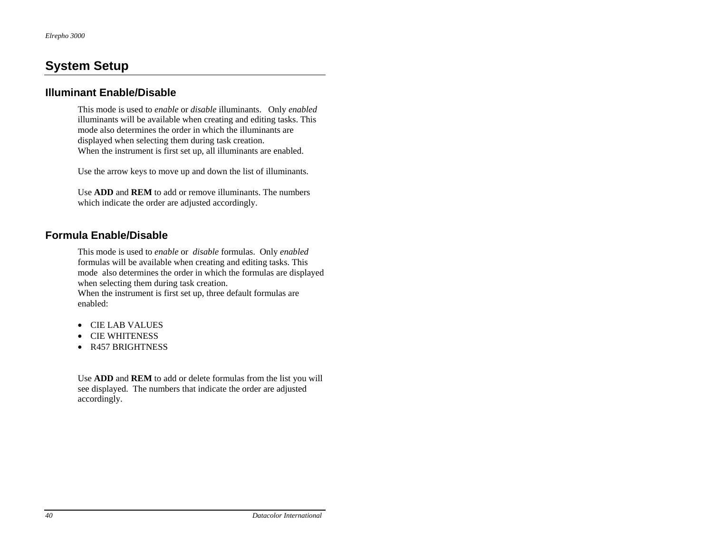### **Illuminant Enable/Disable**

This mode is used to *enable* or *disable* illuminants. Only *enabled* illuminants will be available when creating and editing tasks. This mode also determines the order in which the illuminants are displayed when selecting them during task creation. When the instrument is first set up, all illuminants are enabled.

Use the arrow keys to move up and down the list of illuminants.

Use **ADD** and **REM** to add or remove illuminants. The numbers which indicate the order are adjusted accordingly.

### **Formula Enable/Disable**

This mode is used to *enable* or *disable* formulas. Only *enabled*  formulas will be available when creating and editing tasks. This mode also determines the order in which the formulas are displayed when selecting them during task creation.

When the instrument is first set up, three default formulas are enabled:

- CIE LAB VALUES
- CIE WHITENESS
- R457 BRIGHTNESS

Use **ADD** and **REM** to add or delete formulas from the list you will see displayed. The numbers that indicate the order are adjusted accordingly.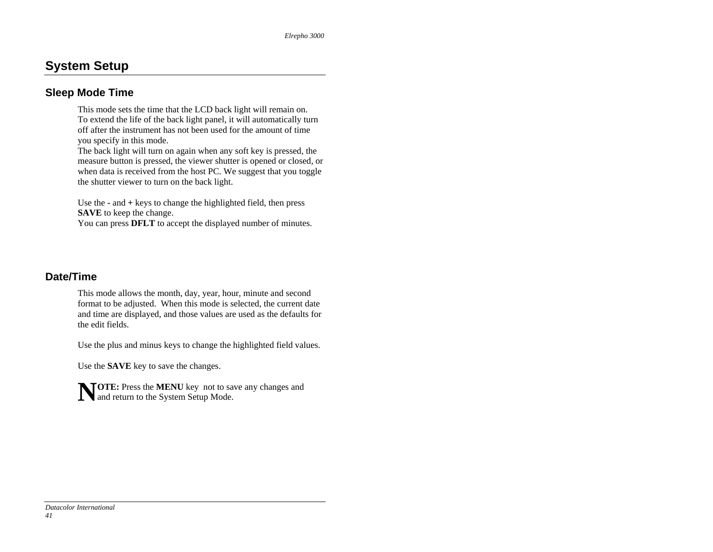### **Sleep Mode Time**

This mode sets the time that the LCD back light will remain on. To extend the life of the back light panel, it will automatically turn off after the instrument has not been used for the amount of time you specify in this mode.

The back light will turn on again when any soft key is pressed, the measure button is pressed, the viewer shutter is opened or closed, or when data is received from the host PC. We suggest that you toggle the shutter viewer to turn on the back light.

Use the **-** and **+** keys to change the highlighted field, then press **SAVE** to keep the change.

You can press **DFLT** to accept the displayed number of minutes.

### **Date/Time**

This mode allows the month, day, year, hour, minute and second format to be adjusted. When this mode is selected, the current date and time are displayed, and those values are used as the defaults for the edit fields.

Use the plus and minus keys to change the highlighted field values.

Use the **SAVE** key to save the changes.

**NOTE:** Press the **MENU** key not to save any changes and and return to the System Setup Mode.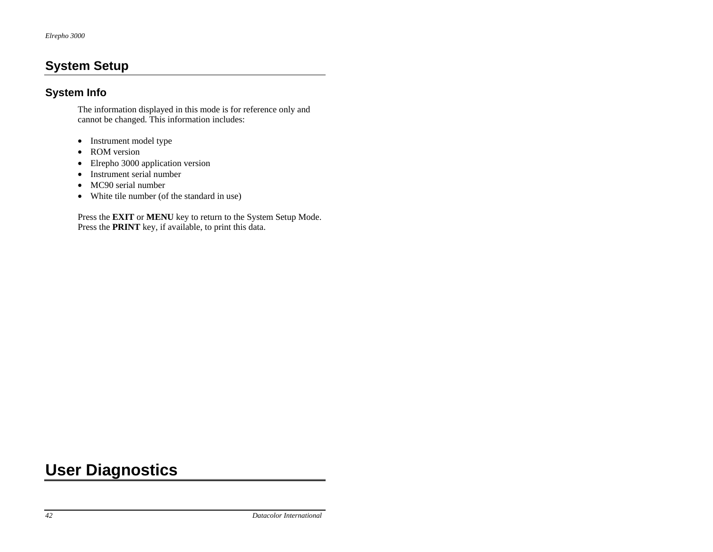### **System Info**

The information displayed in this mode is for reference only and cannot be changed. This information includes:

- Instrument model type
- ROM version
- Elrepho 3000 application version
- Instrument serial number
- MC90 serial number
- White tile number (of the standard in use)

Press the **EXIT** or **MENU** key to return to the System Setup Mode. Press the **PRINT** key, if available, to print this data.

## **User Diagnostics**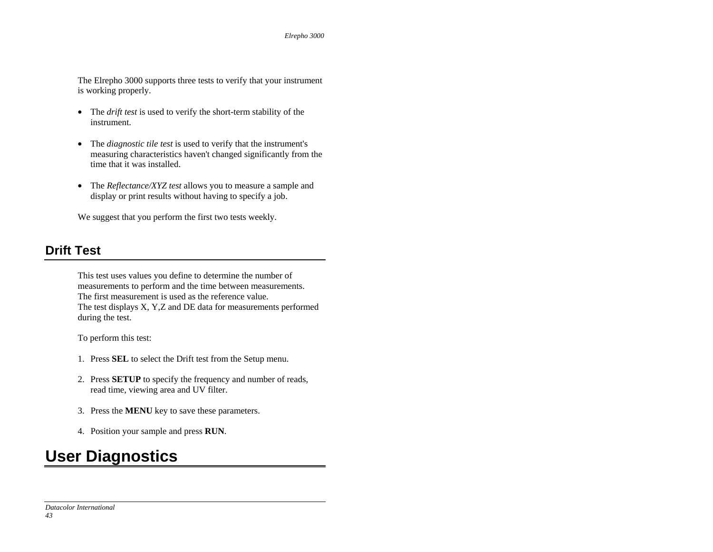The Elrepho 3000 supports three tests to verify that your instrument is working properly.

- The *drift test* is used to verify the short-term stability of the instrument.
- The *diagnostic tile test* is used to verify that the instrument's measuring characteristics haven't changed significantly from the time that it was installed.
- The *Reflectance/XYZ test* allows you to measure a sample and display or print results without having to specify a job.

We suggest that you perform the first two tests weekly.

## **Drift Test**

This test uses values you define to determine the number of measurements to perform and the time between measurements. The first measurement is used as the reference value. The test displays X, Y,Z and DE data for measurements performed during the test.

To perform this test:

- 1. Press **SEL** to select the Drift test from the Setup menu.
- 2. Press **SETUP** to specify the frequency and number of reads, read time, viewing area and UV filter.
- 3. Press the **MENU** key to save these parameters.
- 4. Position your sample and press **RUN**.

# **User Diagnostics**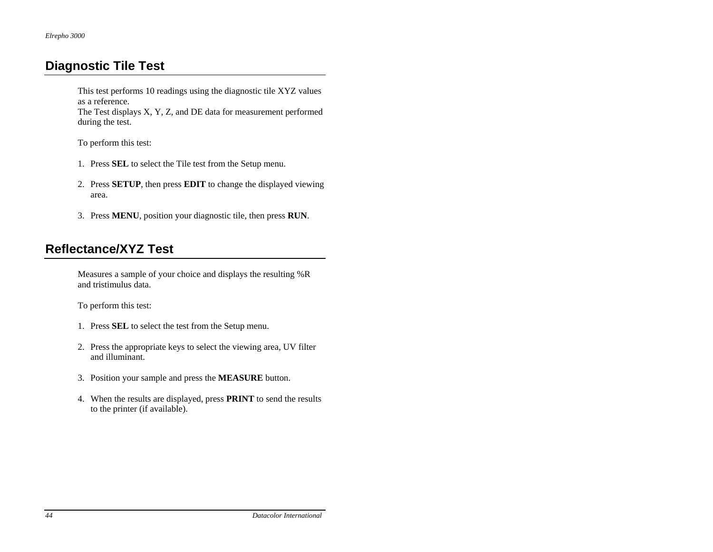## **Diagnostic Tile Test**

This test performs 10 readings using the diagnostic tile XYZ values as a reference.

The Test displays X, Y, Z, and DE data for measurement performed during the test.

To perform this test:

- 1. Press **SEL** to select the Tile test from the Setup menu.
- 2. Press **SETUP**, then press **EDIT** to change the displayed viewing area.
- 3. Press **MENU**, position your diagnostic tile, then press **RUN**.

## **Reflectance/XYZ Test**

Measures a sample of your choice and displays the resulting %R and tristimulus data.

To perform this test:

- 1. Press **SEL** to select the test from the Setup menu.
- 2. Press the appropriate keys to select the viewing area, UV filter and illuminant.
- 3. Position your sample and press the **MEASURE** button.
- 4. When the results are displayed, press **PRINT** to send the results to the printer (if available).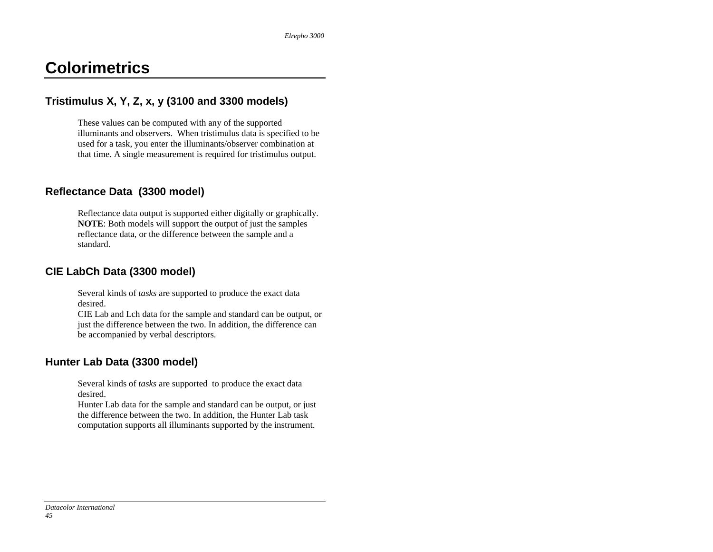## **Colorimetrics**

## **Tristimulus X, Y, Z, x, y (3100 and 3300 models)**

These values can be computed with any of the supported illuminants and observers. When tristimulus data is specified to be used for a task, you enter the illuminants/observer combination at that time. A single measurement is required for tristimulus output.

### **Reflectance Data (3300 model)**

Reflectance data output is supported either digitally or graphically. **NOTE**: Both models will support the output of just the samples reflectance data, or the difference between the sample and a standard.

### **CIE LabCh Data (3300 model)**

Several kinds of *tasks* are supported to produce the exact data desired.

CIE Lab and Lch data for the sample and standard can be output, or just the difference between the two. In addition, the difference can be accompanied by verbal descriptors.

## **Hunter Lab Data (3300 model)**

Several kinds of *tasks* are supported to produce the exact data desired.

Hunter Lab data for the sample and standard can be output, or just the difference between the two. In addition, the Hunter Lab task computation supports all illuminants supported by the instrument.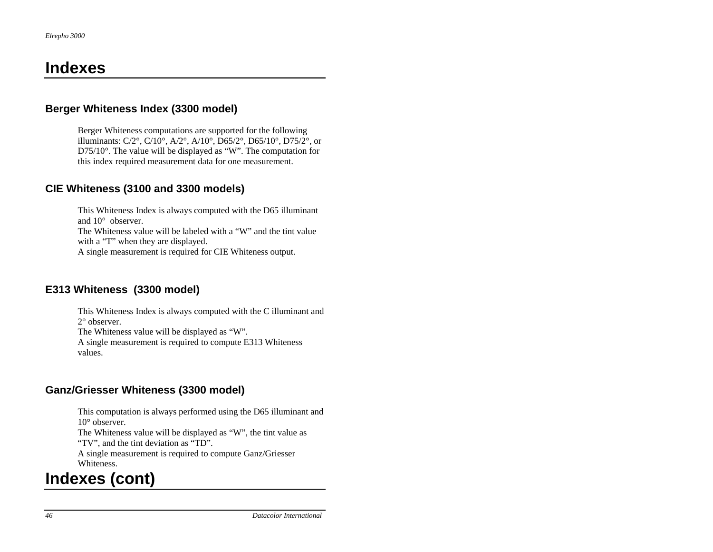## **Indexes**

### **Berger Whiteness Index (3300 model)**

Berger Whiteness computations are supported for the following illuminants: C/2°, C/10°, A/2°, A/10°, D65/2°, D65/10°, D75/2°, or D75/10°. The value will be displayed as "W". The computation for this index required measurement data for one measurement.

### **CIE Whiteness (3100 and 3300 models)**

This Whiteness Index is always computed with the D65 illuminant and 10° observer.

The Whiteness value will be labeled with a "W" and the tint value with a "T" when they are displayed.

A single measurement is required for CIE Whiteness output.

## **E313 Whiteness (3300 model)**

This Whiteness Index is always computed with the C illuminant and 2° observer. The Whiteness value will be displayed as "W".

A single measurement is required to compute E313 Whiteness values.

## **Ganz/Griesser Whiteness (3300 model)**

This computation is always performed using the D65 illuminant and 10° observer.

The Whiteness value will be displayed as "W", the tint value as "TV", and the tint deviation as "TD".

A single measurement is required to compute Ganz/Griesser Whiteness.

## **Indexes (cont)**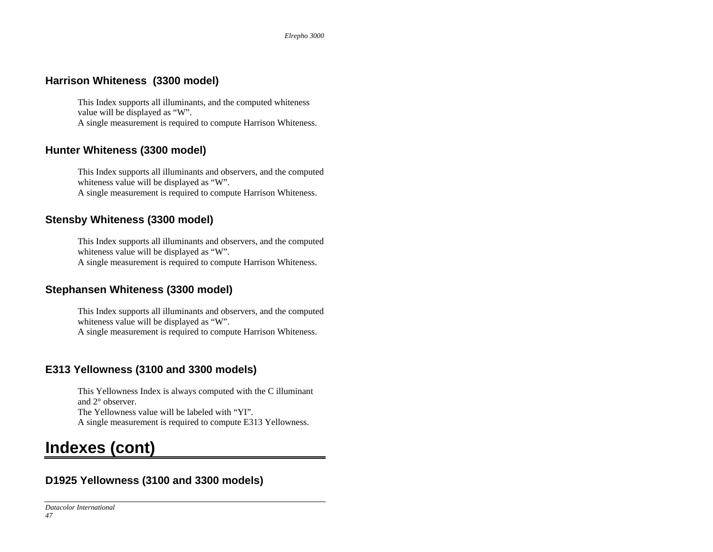### **Harrison Whiteness (3300 model)**

This Index supports all illuminants, and the computed whiteness value will be displayed as "W". A single measurement is required to compute Harrison Whiteness.

### **Hunter Whiteness (3300 model)**

This Index supports all illuminants and observers, and the computed whiteness value will be displayed as "W". A single measurement is required to compute Harrison Whiteness.

## **Stensby Whiteness (3300 model)**

This Index supports all illuminants and observers, and the computed whiteness value will be displayed as "W". A single measurement is required to compute Harrison Whiteness.

## **Stephansen Whiteness (3300 model)**

This Index supports all illuminants and observers, and the computed whiteness value will be displayed as "W". A single measurement is required to compute Harrison Whiteness.

## **E313 Yellowness (3100 and 3300 models)**

This Yellowness Index is always computed with the C illuminant and 2° observer. The Yellowness value will be labeled with "YI". A single measurement is required to compute E313 Yellowness.

## **Indexes (cont)**

## **D1925 Yellowness (3100 and 3300 models)**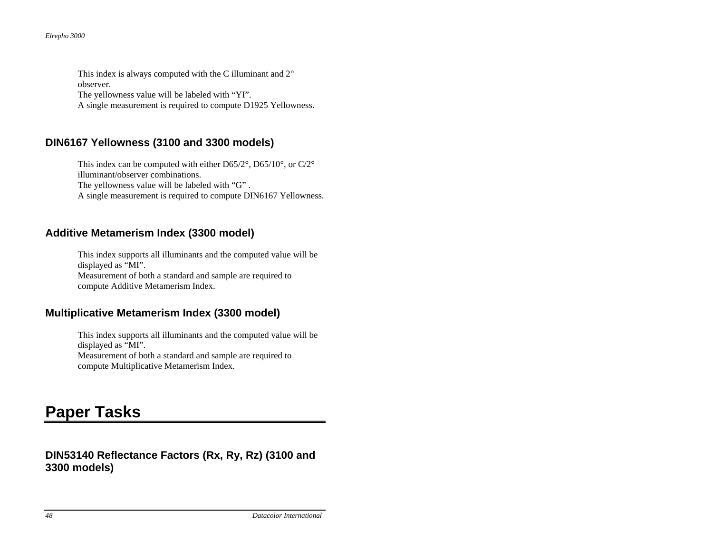*Elrepho 3000*

This index is always computed with the C illuminant and 2° observer.

The yellowness value will be labeled with "YI".

A single measurement is required to compute D1925 Yellowness.

## **DIN6167 Yellowness (3100 and 3300 models)**

This index can be computed with either D65/2°, D65/10°, or C/2° illuminant/observer combinations. The yellowness value will be labeled with "G" . A single measurement is required to compute DIN6167 Yellowness.

## **Additive Metamerism Index (3300 model)**

This index supports all illuminants and the computed value will be displayed as "MI". Measurement of both a standard and sample are required to compute Additive Metamerism Index.

## **Multiplicative Metamerism Index (3300 model)**

This index supports all illuminants and the computed value will be displayed as "MI". Measurement of both a standard and sample are required to compute Multiplicative Metamerism Index.

# **Paper Tasks**

## **DIN53140 Reflectance Factors (Rx, Ry, Rz) (3100 and 3300 models)**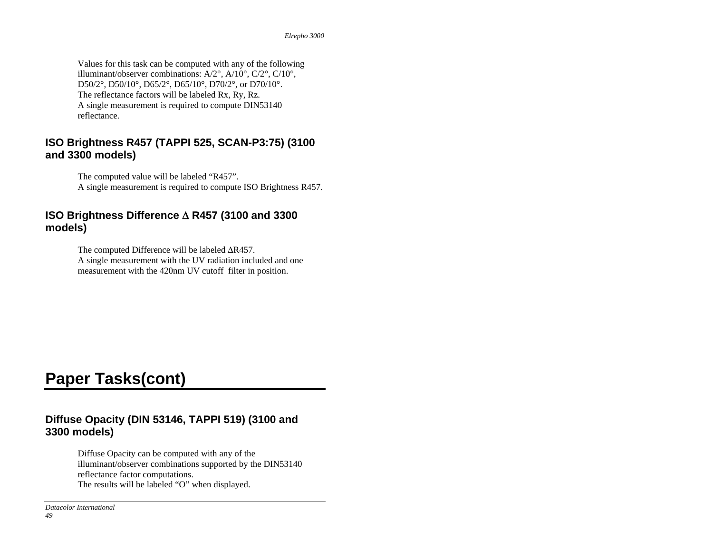Values for this task can be computed with any of the following illuminant/observer combinations: A/2°, A/10°, C/2°, C/10°, D50/2°, D50/10°, D65/2°, D65/10°, D70/2°, or D70/10°. The reflectance factors will be labeled Rx, Ry, Rz. A single measurement is required to compute DIN53140 reflectance.

### **ISO Brightness R457 (TAPPI 525, SCAN-P3:75) (3100 and 3300 models)**

The computed value will be labeled "R457". A single measurement is required to compute ISO Brightness R457.

### **ISO Brightness Difference** Δ **R457 (3100 and 3300 models)**

The computed Difference will be labeled ΔR457. A single measurement with the UV radiation included and one measurement with the 420nm UV cutoff filter in position.

## **Paper Tasks(cont)**

### **Diffuse Opacity (DIN 53146, TAPPI 519) (3100 and 3300 models)**

Diffuse Opacity can be computed with any of the illuminant/observer combinations supported by the DIN53140 reflectance factor computations. The results will be labeled "O" when displayed.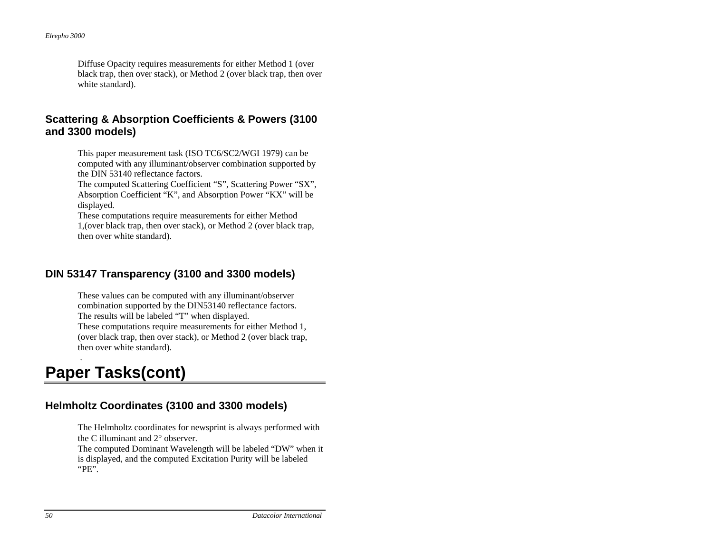Diffuse Opacity requires measurements for either Method 1 (over black trap, then over stack), or Method 2 (over black trap, then over white standard).

### **Scattering & Absorption Coefficients & Powers (3100 and 3300 models)**

This paper measurement task (ISO TC6/SC2/WGI 1979) can be computed with any illuminant/observer combination supported by the DIN 53140 reflectance factors.

The computed Scattering Coefficient "S", Scattering Power "SX", Absorption Coefficient "K", and Absorption Power "KX" will be displayed.

These computations require measurements for either Method 1,(over black trap, then over stack), or Method 2 (over black trap, then over white standard).

## **DIN 53147 Transparency (3100 and 3300 models)**

These values can be computed with any illuminant/observer combination supported by the DIN53140 reflectance factors. The results will be labeled "T" when displayed.

These computations require measurements for either Method 1, (over black trap, then over stack), or Method 2 (over black trap, then over white standard).

# **Paper Tasks(cont)**

.

## **Helmholtz Coordinates (3100 and 3300 models)**

The Helmholtz coordinates for newsprint is always performed with the C illuminant and 2° observer.

The computed Dominant Wavelength will be labeled "DW" when it is displayed, and the computed Excitation Purity will be labeled "PE".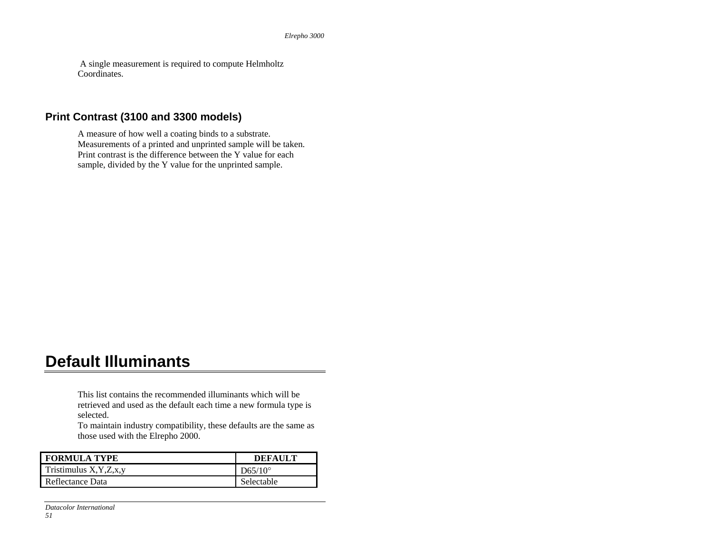A single measurement is required to compute Helmholtz Coordinates.

### **Print Contrast (3100 and 3300 models)**

 A measure of how well a coating binds to a substrate. Measurements of a printed and unprinted sample will be taken. Print contrast is the difference between the Y value for each sample, divided by the Y value for the unprinted sample.

## **Default Illuminants**

This list contains the recommended illuminants which will be retrieved and used as the default each time a new formula type is selected.

To maintain industry compatibility, these defaults are the same as those used with the Elrepho 2000.

| <b>FORMULA TYPE</b>         | <b>DEFAULT</b>   |
|-----------------------------|------------------|
| Tristimulus $X, Y, Z, x, y$ | $D65/10^{\circ}$ |
| Reflectance Data            | Selectable       |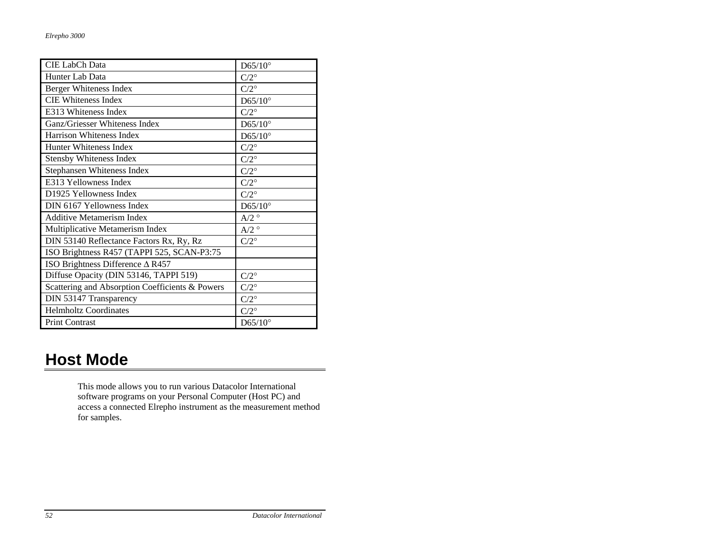| <b>CIE LabCh Data</b>                           | $D65/10^{\circ}$   |
|-------------------------------------------------|--------------------|
| Hunter Lab Data                                 | $C/2^{\circ}$      |
| Berger Whiteness Index                          | $C/2^{\circ}$      |
| <b>CIE Whiteness Index</b>                      | $D65/10^{\circ}$   |
| E313 Whiteness Index                            | $C/2^{\circ}$      |
| Ganz/Griesser Whiteness Index                   | $D65/10^{\circ}$   |
| Harrison Whiteness Index                        | $D65/10^{\circ}$   |
| Hunter Whiteness Index                          | $C/2^{\circ}$      |
| Stensby Whiteness Index                         | $C/2^{\circ}$      |
| Stephansen Whiteness Index                      | $C/2^{\circ}$      |
| E313 Yellowness Index                           | $C/2^{\circ}$      |
| D1925 Yellowness Index                          | $C/2^{\circ}$      |
| DIN 6167 Yellowness Index                       | $D65/10^{\circ}$   |
| <b>Additive Metamerism Index</b>                | $A/2^{\circ}$      |
| Multiplicative Metamerism Index                 | $A/2$ <sup>o</sup> |
| DIN 53140 Reflectance Factors Rx, Ry, Rz        | $C/2^{\circ}$      |
| ISO Brightness R457 (TAPPI 525, SCAN-P3:75      |                    |
| ISO Brightness Difference $\triangle$ R457      |                    |
| Diffuse Opacity (DIN 53146, TAPPI 519)          | $C/2^{\circ}$      |
| Scattering and Absorption Coefficients & Powers | $C/2^{\circ}$      |
| DIN 53147 Transparency                          | $C/2^{\circ}$      |
| <b>Helmholtz Coordinates</b>                    | $C/2^{\circ}$      |
| Print Contrast                                  | $D65/10^{\circ}$   |

## **Host Mode**

This mode allows you to run various Datacolor International software programs on your Personal Computer (Host PC) and access a connected Elrepho instrument as the measurement method for samples.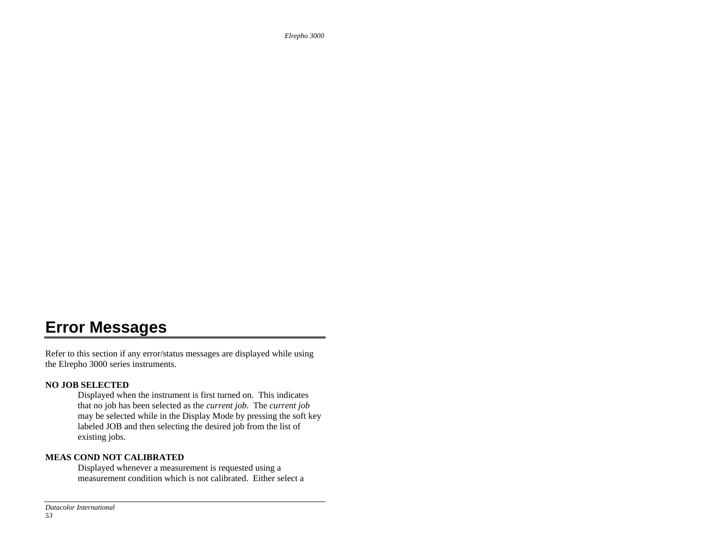*Elrepho 3000*

## **Error Messages**

Refer to this section if any error/status messages are displayed while using the Elrepho 3000 series instruments.

#### **NO JOB SELECTED**

Displayed when the instrument is first turned on. This indicates that no job has been selected as the *current job*. The *current job* may be selected while in the Display Mode by pressing the soft key labeled JOB and then selecting the desired job from the list of existing jobs.

#### **MEAS COND NOT CALIBRATED**

Displayed whenever a measurement is requested using a measurement condition which is not calibrated. Either select a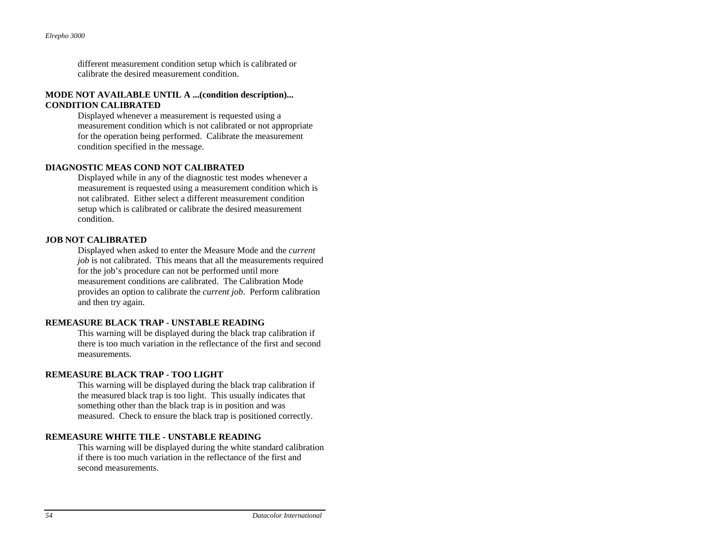different measurement condition setup which is calibrated or calibrate the desired measurement condition.

#### **MODE NOT AVAILABLE UNTIL A ...(condition description)... CONDITION CALIBRATED**

Displayed whenever a measurement is requested using a measurement condition which is not calibrated or not appropriate for the operation being performed. Calibrate the measurement condition specified in the message.

#### **DIAGNOSTIC MEAS COND NOT CALIBRATED**

Displayed while in any of the diagnostic test modes whenever a measurement is requested using a measurement condition which is not calibrated. Either select a different measurement condition setup which is calibrated or calibrate the desired measurement condition.

#### **JOB NOT CALIBRATED**

Displayed when asked to enter the Measure Mode and the *current job* is not calibrated. This means that all the measurements required for the job's procedure can not be performed until more measurement conditions are calibrated. The Calibration Mode provides an option to calibrate the *current job*. Perform calibration and then try again.

#### **REMEASURE BLACK TRAP - UNSTABLE READING**

This warning will be displayed during the black trap calibration if there is too much variation in the reflectance of the first and second measurements.

#### **REMEASURE BLACK TRAP - TOO LIGHT**

This warning will be displayed during the black trap calibration if the measured black trap is too light. This usually indicates that something other than the black trap is in position and was measured. Check to ensure the black trap is positioned correctly.

#### **REMEASURE WHITE TILE - UNSTABLE READING**

This warning will be displayed during the white standard calibration if there is too much variation in the reflectance of the first and second measurements.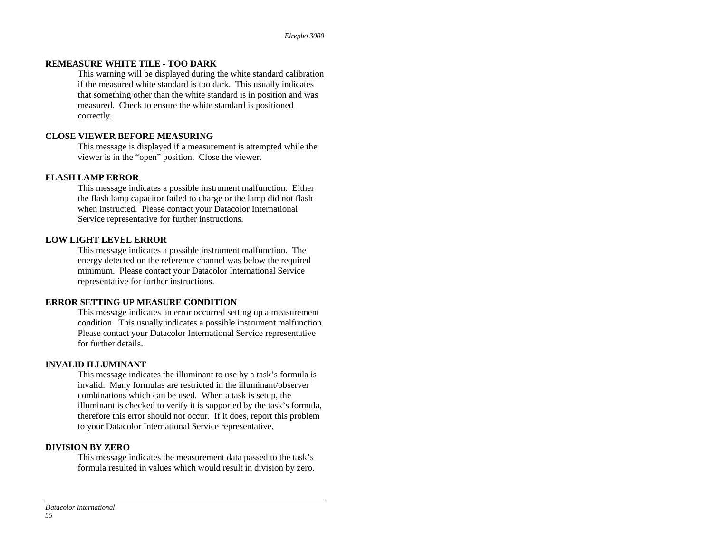#### **REMEASURE WHITE TILE - TOO DARK**

This warning will be displayed during the white standard calibration if the measured white standard is too dark. This usually indicates that something other than the white standard is in position and was measured. Check to ensure the white standard is positioned correctly.

#### **CLOSE VIEWER BEFORE MEASURING**

This message is displayed if a measurement is attempted while the viewer is in the "open" position. Close the viewer.

#### **FLASH LAMP ERROR**

This message indicates a possible instrument malfunction. Either the flash lamp capacitor failed to charge or the lamp did not flash when instructed. Please contact your Datacolor International Service representative for further instructions.

#### **LOW LIGHT LEVEL ERROR**

This message indicates a possible instrument malfunction. The energy detected on the reference channel was below the required minimum. Please contact your Datacolor International Service representative for further instructions.

#### **ERROR SETTING UP MEASURE CONDITION**

This message indicates an error occurred setting up a measurement condition. This usually indicates a possible instrument malfunction. Please contact your Datacolor International Service representative for further details.

#### **INVALID ILLUMINANT**

This message indicates the illuminant to use by a task's formula is invalid. Many formulas are restricted in the illuminant/observer combinations which can be used. When a task is setup, the illuminant is checked to verify it is supported by the task's formula, therefore this error should not occur. If it does, report this problem to your Datacolor International Service representative.

#### **DIVISION BY ZERO**

This message indicates the measurement data passed to the task's formula resulted in values which would result in division by zero.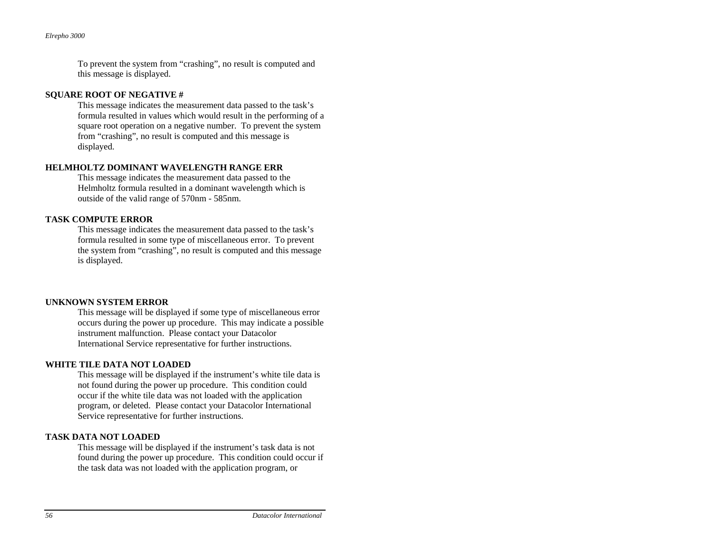To prevent the system from "crashing", no result is computed and this message is displayed.

#### **SQUARE ROOT OF NEGATIVE #**

This message indicates the measurement data passed to the task's formula resulted in values which would result in the performing of a square root operation on a negative number. To prevent the system from "crashing", no result is computed and this message is displayed.

#### **HELMHOLTZ DOMINANT WAVELENGTH RANGE ERR**

This message indicates the measurement data passed to the Helmholtz formula resulted in a dominant wavelength which is outside of the valid range of 570nm - 585nm.

#### **TASK COMPUTE ERROR**

This message indicates the measurement data passed to the task's formula resulted in some type of miscellaneous error. To prevent the system from "crashing", no result is computed and this message is displayed.

#### **UNKNOWN SYSTEM ERROR**

This message will be displayed if some type of miscellaneous error occurs during the power up procedure. This may indicate a possible instrument malfunction. Please contact your Datacolor International Service representative for further instructions.

#### **WHITE TILE DATA NOT LOADED**

This message will be displayed if the instrument's white tile data is not found during the power up procedure. This condition could occur if the white tile data was not loaded with the application program, or deleted. Please contact your Datacolor International Service representative for further instructions.

#### **TASK DATA NOT LOADED**

This message will be displayed if the instrument's task data is not found during the power up procedure. This condition could occur if the task data was not loaded with the application program, or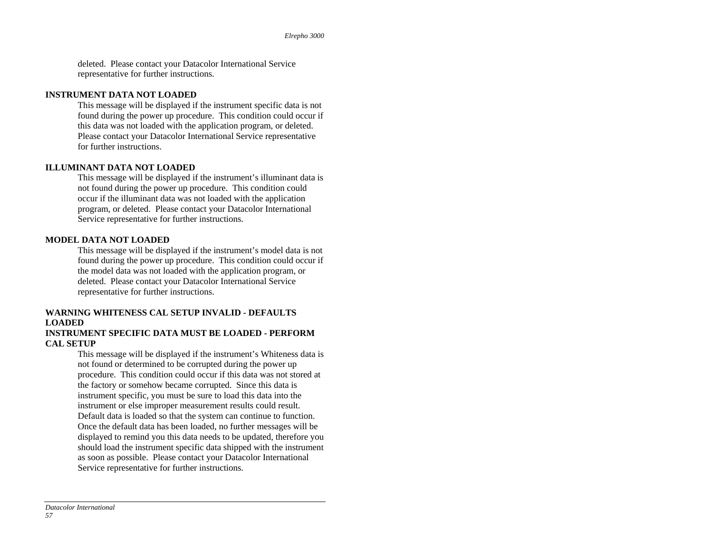deleted. Please contact your Datacolor International Service representative for further instructions.

#### **INSTRUMENT DATA NOT LOADED**

This message will be displayed if the instrument specific data is not found during the power up procedure. This condition could occur if this data was not loaded with the application program, or deleted. Please contact your Datacolor International Service representative for further instructions.

#### **ILLUMINANT DATA NOT LOADED**

This message will be displayed if the instrument's illuminant data is not found during the power up procedure. This condition could occur if the illuminant data was not loaded with the application program, or deleted. Please contact your Datacolor International Service representative for further instructions.

#### **MODEL DATA NOT LOADED**

This message will be displayed if the instrument's model data is not found during the power up procedure. This condition could occur if the model data was not loaded with the application program, or deleted. Please contact your Datacolor International Service representative for further instructions.

#### **WARNING WHITENESS CAL SETUP INVALID - DEFAULTS LOADED**

#### **INSTRUMENT SPECIFIC DATA MUST BE LOADED - PERFORM CAL SETUP**

This message will be displayed if the instrument's Whiteness data is not found or determined to be corrupted during the power up procedure. This condition could occur if this data was not stored at the factory or somehow became corrupted. Since this data is instrument specific, you must be sure to load this data into the instrument or else improper measurement results could result. Default data is loaded so that the system can continue to function. Once the default data has been loaded, no further messages will be displayed to remind you this data needs to be updated, therefore you should load the instrument specific data shipped with the instrument as soon as possible. Please contact your Datacolor International Service representative for further instructions.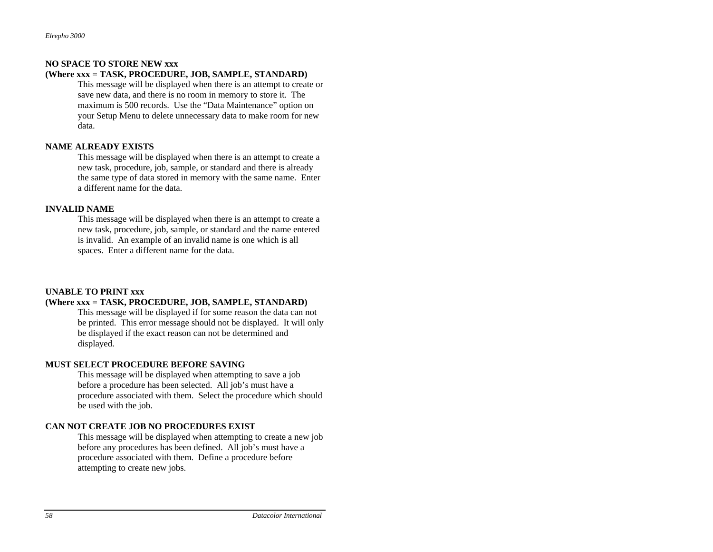#### **NO SPACE TO STORE NEW xxx**

#### **(Where xxx = TASK, PROCEDURE, JOB, SAMPLE, STANDARD)**

This message will be displayed when there is an attempt to create or save new data, and there is no room in memory to store it. The maximum is 500 records. Use the "Data Maintenance" option on your Setup Menu to delete unnecessary data to make room for new data.

#### **NAME ALREADY EXISTS**

This message will be displayed when there is an attempt to create a new task, procedure, job, sample, or standard and there is already the same type of data stored in memory with the same name. Enter a different name for the data.

#### **INVALID NAME**

This message will be displayed when there is an attempt to create a new task, procedure, job, sample, or standard and the name entered is invalid. An example of an invalid name is one which is all spaces. Enter a different name for the data.

#### **UNABLE TO PRINT xxx**

#### **(Where xxx = TASK, PROCEDURE, JOB, SAMPLE, STANDARD)**

This message will be displayed if for some reason the data can not be printed. This error message should not be displayed. It will only be displayed if the exact reason can not be determined and displayed.

#### **MUST SELECT PROCEDURE BEFORE SAVING**

This message will be displayed when attempting to save a job before a procedure has been selected. All job's must have a procedure associated with them. Select the procedure which should be used with the job.

#### **CAN NOT CREATE JOB NO PROCEDURES EXIST**

This message will be displayed when attempting to create a new job before any procedures has been defined. All job's must have a procedure associated with them. Define a procedure before attempting to create new jobs.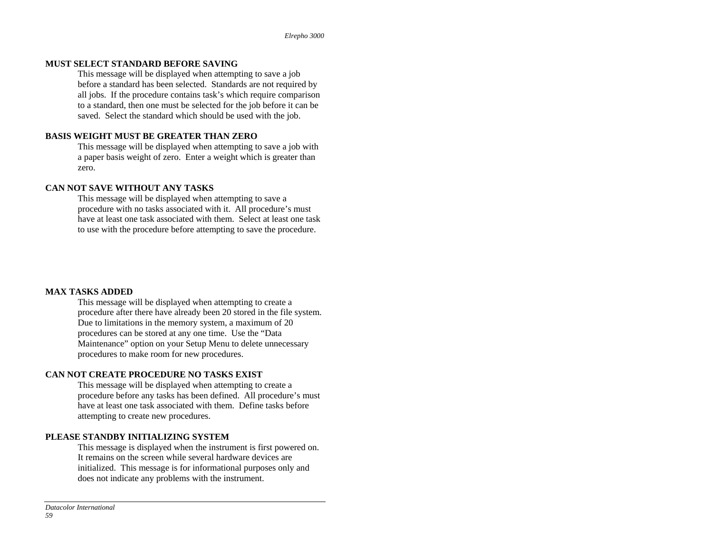#### **MUST SELECT STANDARD BEFORE SAVING**

This message will be displayed when attempting to save a job before a standard has been selected. Standards are not required by all jobs. If the procedure contains task's which require comparison to a standard, then one must be selected for the job before it can be saved. Select the standard which should be used with the job.

#### **BASIS WEIGHT MUST BE GREATER THAN ZERO**

This message will be displayed when attempting to save a job with a paper basis weight of zero. Enter a weight which is greater than zero.

#### **CAN NOT SAVE WITHOUT ANY TASKS**

This message will be displayed when attempting to save a procedure with no tasks associated with it. All procedure's must have at least one task associated with them. Select at least one task to use with the procedure before attempting to save the procedure.

#### **MAX TASKS ADDED**

This message will be displayed when attempting to create a procedure after there have already been 20 stored in the file system. Due to limitations in the memory system, a maximum of 20 procedures can be stored at any one time. Use the "Data Maintenance" option on your Setup Menu to delete unnecessary procedures to make room for new procedures.

#### **CAN NOT CREATE PROCEDURE NO TASKS EXIST**

This message will be displayed when attempting to create a procedure before any tasks has been defined. All procedure's must have at least one task associated with them. Define tasks before attempting to create new procedures.

#### **PLEASE STANDBY INITIALIZING SYSTEM**

This message is displayed when the instrument is first powered on. It remains on the screen while several hardware devices are initialized. This message is for informational purposes only and does not indicate any problems with the instrument.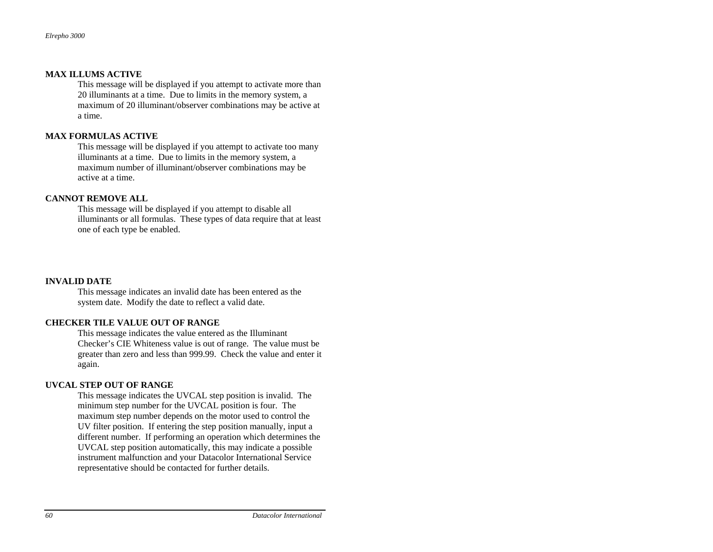#### **MAX ILLUMS ACTIVE**

This message will be displayed if you attempt to activate more than 20 illuminants at a time. Due to limits in the memory system, a maximum of 20 illuminant/observer combinations may be active at a time.

#### **MAX FORMULAS ACTIVE**

This message will be displayed if you attempt to activate too many illuminants at a time. Due to limits in the memory system, a maximum number of illuminant/observer combinations may be active at a time.

#### **CANNOT REMOVE ALL**

This message will be displayed if you attempt to disable all illuminants or all formulas. These types of data require that at least one of each type be enabled.

#### **INVALID DATE**

This message indicates an invalid date has been entered as the system date. Modify the date to reflect a valid date.

#### **CHECKER TILE VALUE OUT OF RANGE**

This message indicates the value entered as the Illuminant Checker's CIE Whiteness value is out of range. The value must be greater than zero and less than 999.99. Check the value and enter it again.

#### **UVCAL STEP OUT OF RANGE**

This message indicates the UVCAL step position is invalid. The minimum step number for the UVCAL position is four. The maximum step number depends on the motor used to control the UV filter position. If entering the step position manually, input a different number. If performing an operation which determines the UVCAL step position automatically, this may indicate a possible instrument malfunction and your Datacolor International Service representative should be contacted for further details.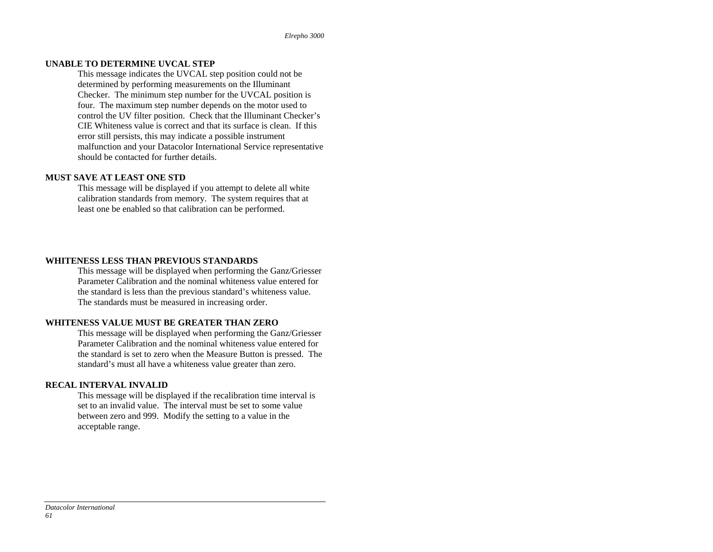#### **UNABLE TO DETERMINE UVCAL STEP**

This message indicates the UVCAL step position could not be determined by performing measurements on the Illuminant Checker. The minimum step number for the UVCAL position is four. The maximum step number depends on the motor used to control the UV filter position. Check that the Illuminant Checker's CIE Whiteness value is correct and that its surface is clean. If this error still persists, this may indicate a possible instrument malfunction and your Datacolor International Service representative should be contacted for further details.

#### **MUST SAVE AT LEAST ONE STD**

This message will be displayed if you attempt to delete all white calibration standards from memory. The system requires that at least one be enabled so that calibration can be performed.

#### **WHITENESS LESS THAN PREVIOUS STANDARDS**

This message will be displayed when performing the Ganz/Griesser Parameter Calibration and the nominal whiteness value entered for the standard is less than the previous standard's whiteness value. The standards must be measured in increasing order.

#### **WHITENESS VALUE MUST BE GREATER THAN ZERO**

This message will be displayed when performing the Ganz/Griesser Parameter Calibration and the nominal whiteness value entered for the standard is set to zero when the Measure Button is pressed. The standard's must all have a whiteness value greater than zero.

#### **RECAL INTERVAL INVALID**

This message will be displayed if the recalibration time interval is set to an invalid value. The interval must be set to some value between zero and 999. Modify the setting to a value in the acceptable range.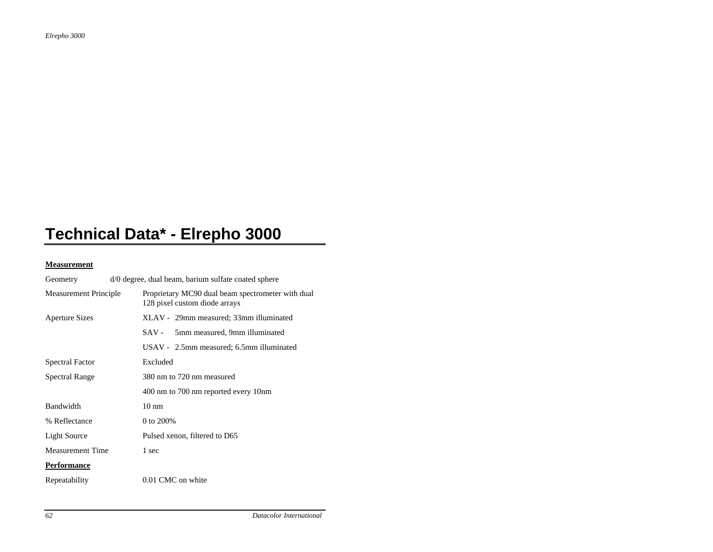# **Technical Data\* - Elrepho 3000**

#### **Measurement**

| Geometry                | d/0 degree, dual beam, barium sulfate coated sphere |                                                                                    |
|-------------------------|-----------------------------------------------------|------------------------------------------------------------------------------------|
| Measurement Principle   |                                                     | Proprietary MC90 dual beam spectrometer with dual<br>128 pixel custom diode arrays |
| <b>Aperture Sizes</b>   |                                                     | XLAV - 29mm measured; 33mm illuminated                                             |
|                         |                                                     | 5mm measured, 9mm illuminated<br>SAV -                                             |
|                         |                                                     | USAV - 2.5mm measured; 6.5mm illuminated                                           |
| <b>Spectral Factor</b>  |                                                     | Excluded                                                                           |
| <b>Spectral Range</b>   |                                                     | 380 nm to 720 nm measured                                                          |
|                         |                                                     | 400 nm to 700 nm reported every 10nm                                               |
| Bandwidth               |                                                     | $10 \text{ nm}$                                                                    |
| % Reflectance           |                                                     | 0 to 200%                                                                          |
| Light Source            |                                                     | Pulsed xenon, filtered to D65                                                      |
| <b>Measurement Time</b> |                                                     | 1 sec                                                                              |
| Performance             |                                                     |                                                                                    |
| Repeatability           |                                                     | 0.01 CMC on white                                                                  |
|                         |                                                     |                                                                                    |

*62 Datacolor International*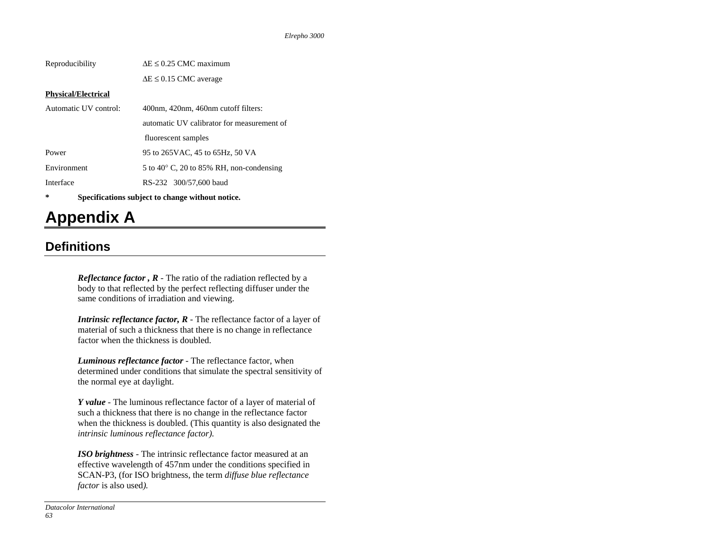| Reproducibility                                       | $\Delta E \leq 0.25$ CMC maximum                  |  |
|-------------------------------------------------------|---------------------------------------------------|--|
|                                                       | $\Delta E \leq 0.15$ CMC average                  |  |
| <b>Physical/Electrical</b>                            |                                                   |  |
| Automatic UV control:                                 | 400nm, 420nm, 460nm cutoff filters:               |  |
|                                                       | automatic UV calibrator for measurement of        |  |
|                                                       | fluorescent samples                               |  |
| Power                                                 | 95 to 265 VAC, 45 to 65 Hz, 50 VA                 |  |
| Environment                                           | 5 to 40 $\degree$ C, 20 to 85% RH, non-condensing |  |
| Interface                                             | RS-232 300/57,600 baud                            |  |
| 尖<br>Specifications subject to change without notice. |                                                   |  |

# **Appendix A**

## **Definitions**

*Reflectance factor* ,  $R$  - The ratio of the radiation reflected by a body to that reflected by the perfect reflecting diffuser under the same conditions of irradiation and viewing.

*Intrinsic reflectance factor, R* - The reflectance factor of a layer of material of such a thickness that there is no change in reflectance factor when the thickness is doubled.

*Luminous reflectance factor* - The reflectance factor, when determined under conditions that simulate the spectral sensitivity of the normal eye at daylight.

*Y value* - The luminous reflectance factor of a layer of material of such a thickness that there is no change in the reflectance factor when the thickness is doubled. (This quantity is also designated the *intrinsic luminous reflectance factor).* 

*ISO brightness* - The intrinsic reflectance factor measured at an effective wavelength of 457nm under the conditions specified in SCAN-P3, (for ISO brightness, the term *diffuse blue reflectance factor* is also used*).*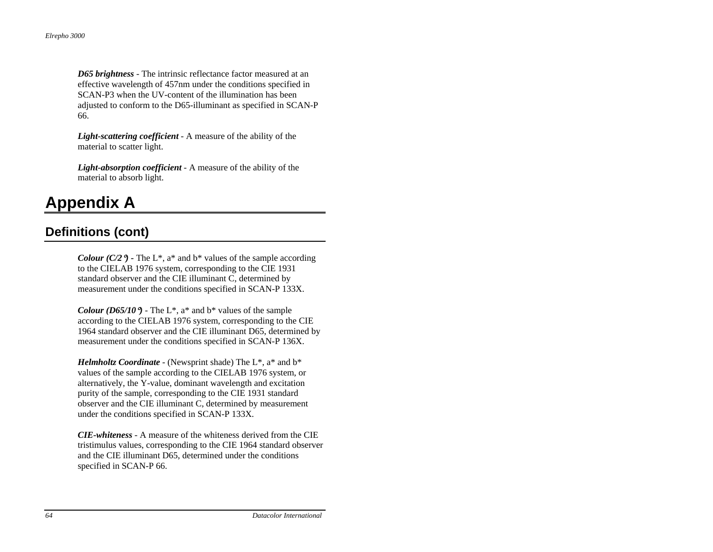*D65 brightness* - The intrinsic reflectance factor measured at an effective wavelength of 457nm under the conditions specified in SCAN-P3 when the UV-content of the illumination has been adjusted to conform to the D65-illuminant as specified in SCAN-P 66.

*Light-scattering coefficient* - A measure of the ability of the material to scatter light.

*Light-absorption coefficient* - A measure of the ability of the material to absorb light.

## **Appendix A**

## **Definitions (cont)**

*Colour (C/2*<sup>9</sup>) - The L<sup>\*</sup>, a<sup>\*</sup> and b<sup>\*</sup> values of the sample according to the CIELAB 1976 system, corresponding to the CIE 1931 standard observer and the CIE illuminant C, determined by measurement under the conditions specified in SCAN-P 133X.

*Colour (D65/10* $\degree$ ) - The L<sup>\*</sup>, a<sup>\*</sup> and b<sup>\*</sup> values of the sample according to the CIELAB 1976 system, corresponding to the CIE 1964 standard observer and the CIE illuminant D65, determined by measurement under the conditions specified in SCAN-P 136X.

*Helmholtz Coordinate* - (Newsprint shade) The L\*, a\* and b\* values of the sample according to the CIELAB 1976 system, or alternatively, the Y-value, dominant wavelength and excitation purity of the sample, corresponding to the CIE 1931 standard observer and the CIE illuminant C, determined by measurement under the conditions specified in SCAN-P 133X.

*CIE-whiteness* - A measure of the whiteness derived from the CIE tristimulus values, corresponding to the CIE 1964 standard observer and the CIE illuminant D65, determined under the conditions specified in SCAN-P 66.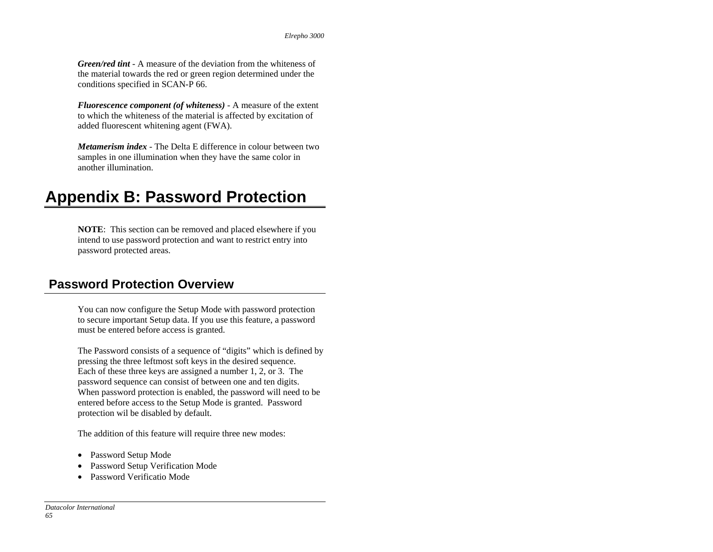*Green/red tint* - A measure of the deviation from the whiteness of the material towards the red or green region determined under the conditions specified in SCAN-P 66.

*Fluorescence component (of whiteness)* - A measure of the extent to which the whiteness of the material is affected by excitation of added fluorescent whitening agent (FWA).

*Metamerism index* - The Delta E difference in colour between two samples in one illumination when they have the same color in another illumination.

## **Appendix B: Password Protection**

**NOTE**: This section can be removed and placed elsewhere if you intend to use password protection and want to restrict entry into password protected areas.

## **Password Protection Overview**

You can now configure the Setup Mode with password protection to secure important Setup data. If you use this feature, a password must be entered before access is granted.

The Password consists of a sequence of "digits" which is defined by pressing the three leftmost soft keys in the desired sequence. Each of these three keys are assigned a number 1, 2, or 3. The password sequence can consist of between one and ten digits. When password protection is enabled, the password will need to be entered before access to the Setup Mode is granted. Password protection wil be disabled by default.

The addition of this feature will require three new modes:

- Password Setup Mode
- Password Setup Verification Mode
- Password Verificatio Mode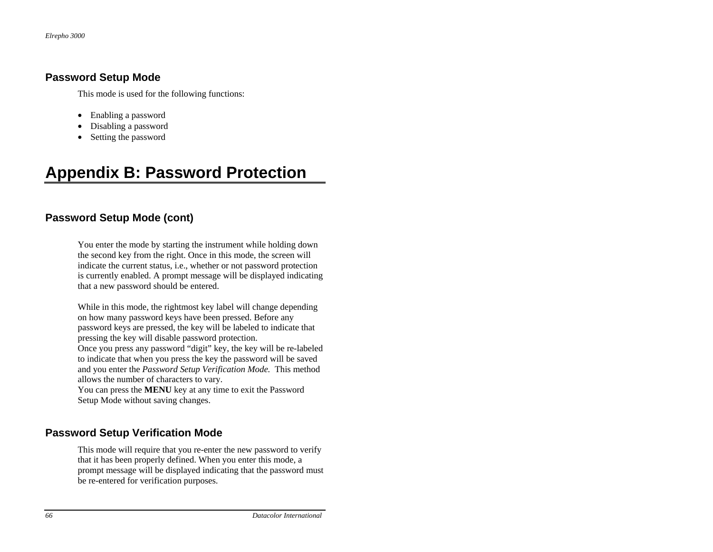#### **Password Setup Mode**

This mode is used for the following functions:

- Enabling a password
- •Disabling a password
- Setting the password

# **Appendix B: Password Protection**

### **Password Setup Mode (cont)**

You enter the mode by starting the instrument while holding down the second key from the right. Once in this mode, the screen will indicate the current status, i.e., whether or not password protection is currently enabled. A prompt message will be displayed indicating that a new password should be entered.

While in this mode, the rightmost key label will change depending on how many password keys have been pressed. Before any password keys are pressed, the key will be labeled to indicate that pressing the key will disable password protection.

Once you press any password "digit" key, the key will be re-labeled to indicate that when you press the key the password will be saved and you enter the *Password Setup Verification Mode.* This method allows the number of characters to vary.

You can press the **MENU** key at any time to exit the Password Setup Mode without saving changes.

## **Password Setup Verification Mode**

This mode will require that you re-enter the new password to verify that it has been properly defined. When you enter this mode, a prompt message will be displayed indicating that the password must be re-entered for verification purposes.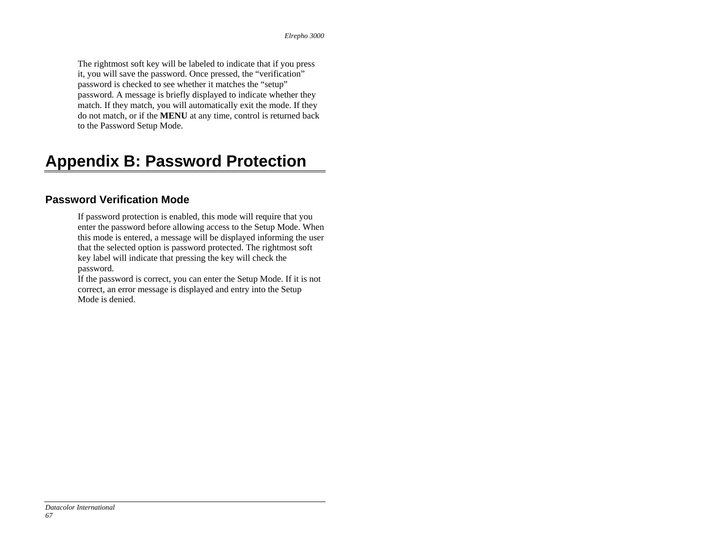The rightmost soft key will be labeled to indicate that if you press it, you will save the password. Once pressed, the "verification" password is checked to see whether it matches the "setup" password. A message is briefly displayed to indicate whether they match. If they match, you will automatically exit the mode. If they do not match, or if the **MENU** at any time, control is returned back to the Password Setup Mode.

# **Appendix B: Password Protection**

### **Password Verification Mode**

If password protection is enabled, this mode will require that you enter the password before allowing access to the Setup Mode. When this mode is entered, a message will be displayed informing the user that the selected option is password protected. The rightmost soft key label will indicate that pressing the key will check the password.

If the password is correct, you can enter the Setup Mode. If it is not correct, an error message is displayed and entry into the Setup Mode is denied.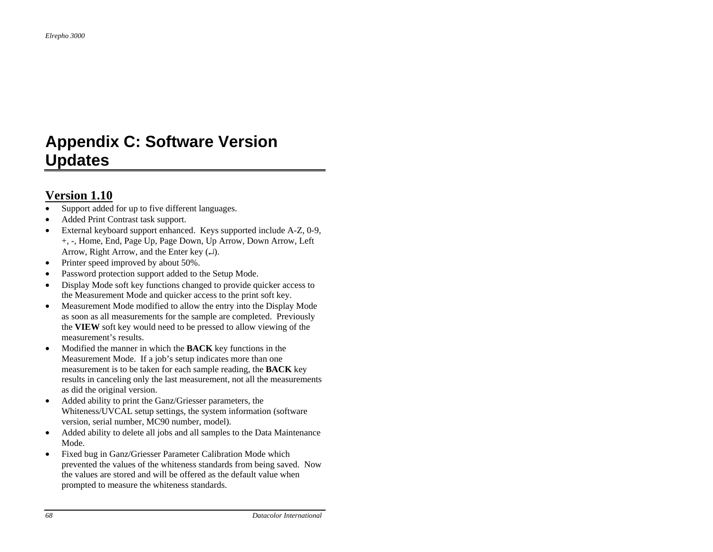## **Appendix C: Software Version Updates**

## **Version 1.10**

- •Support added for up to five different languages.
- •Added Print Contrast task support.
- • External keyboard support enhanced. Keys supported include A-Z, 0-9, +, -, Home, End, Page Up, Page Down, Up Arrow, Down Arrow, Left Arrow, Right Arrow, and the Enter key  $(\perp)$ .
- •Printer speed improved by about 50%.
- •Password protection support added to the Setup Mode.
- • Display Mode soft key functions changed to provide quicker access to the Measurement Mode and quicker access to the print soft key.
- • Measurement Mode modified to allow the entry into the Display Mode as soon as all measurements for the sample are completed. Previously the **VIEW** soft key would need to be pressed to allow viewing of the measurement's results.
- • Modified the manner in which the **BACK** key functions in the Measurement Mode. If a job's setup indicates more than one measurement is to be taken for each sample reading, the **BACK** key results in canceling only the last measurement, not all the measurements as did the original version.
- • Added ability to print the Ganz/Griesser parameters, the Whiteness/UVCAL setup settings, the system information (software version, serial number, MC90 number, model).
- • Added ability to delete all jobs and all samples to the Data Maintenance Mode.
- • Fixed bug in Ganz/Griesser Parameter Calibration Mode which prevented the values of the whiteness standards from being saved. Now the values are stored and will be offered as the default value when prompted to measure the whiteness standards.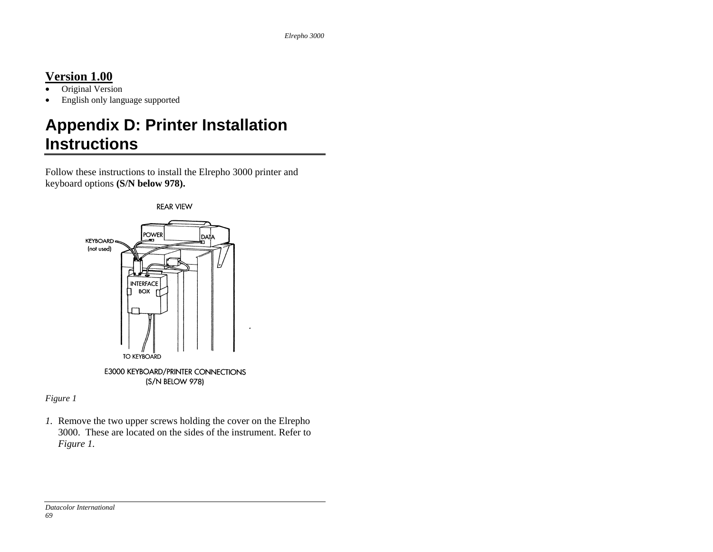## **Version 1.00**

- •Original Version
- •English only language supported

# **Appendix D: Printer Installation Instructions**

Follow these instructions to install the Elrepho 3000 printer and keyboard options **(S/N below 978).**



*Figure 1* 

*1.* Remove the two upper screws holding the cover on the Elrepho 3000. These are located on the sides of the instrument. Refer to *Figure 1.*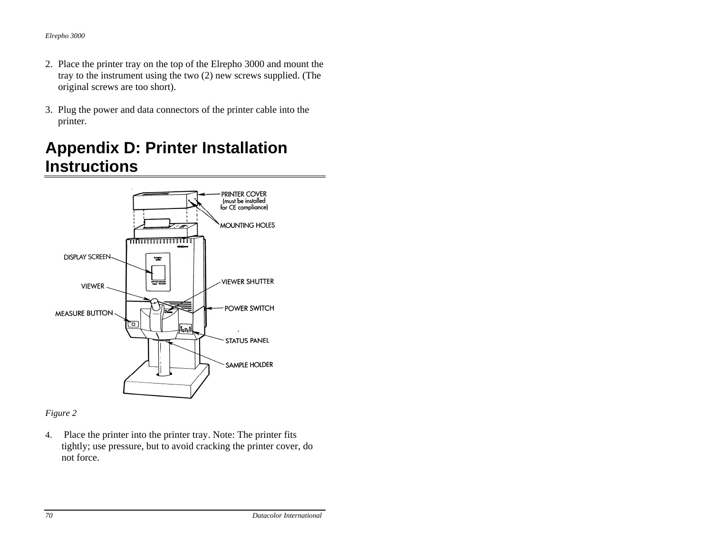- 2. Place the printer tray on the top of the Elrepho 3000 and mount the tray to the instrument using the two (2) new screws supplied. (The original screws are too short).
- 3. Plug the power and data connectors of the printer cable into the printer.

## **Appendix D: Printer Installation Instructions**



### *Figure 2*

4. Place the printer into the printer tray. Note: The printer fits tightly; use pressure, but to avoid cracking the printer cover, do not force.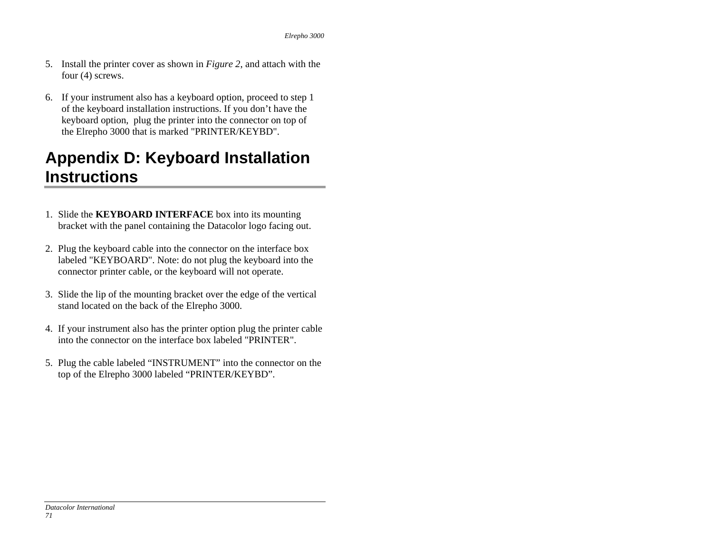- 5. Install the printer cover as shown in *Figure 2*, and attach with the four (4) screws.
- 6. If your instrument also has a keyboard option, proceed to step 1 of the keyboard installation instructions. If you don't have the keyboard option, plug the printer into the connector on top of the Elrepho 3000 that is marked "PRINTER/KEYBD".

# **Appendix D: Keyboard Installation Instructions**

- 1. Slide the **KEYBOARD INTERFACE** box into its mounting bracket with the panel containing the Datacolor logo facing out.
- 2. Plug the keyboard cable into the connector on the interface box labeled "KEYBOARD". Note: do not plug the keyboard into the connector printer cable, or the keyboard will not operate.
- 3. Slide the lip of the mounting bracket over the edge of the vertical stand located on the back of the Elrepho 3000.
- 4. If your instrument also has the printer option plug the printer cable into the connector on the interface box labeled "PRINTER".
- 5. Plug the cable labeled "INSTRUMENT" into the connector on the top of the Elrepho 3000 labeled "PRINTER/KEYBD".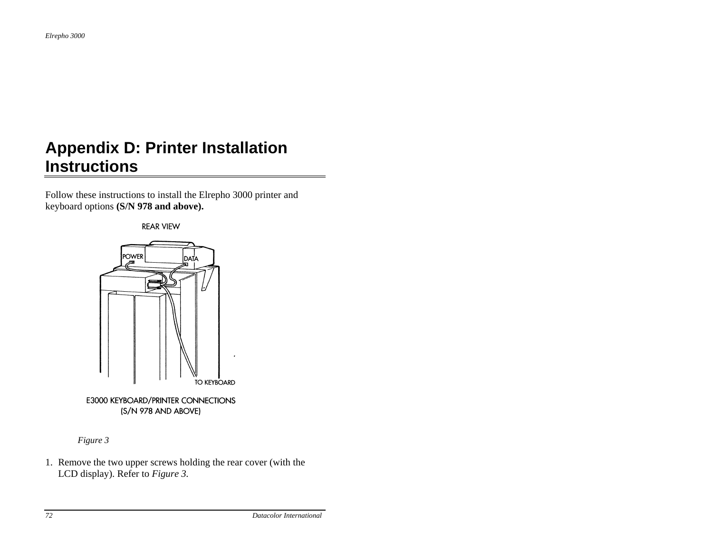## **Appendix D: Printer Installation Instructions**

Follow these instructions to install the Elrepho 3000 printer and keyboard options **(S/N 978 and above).**

**REAR VIEW** 



*Figure 3*

1. Remove the two upper screws holding the rear cover (with the LCD display). Refer to *Figure 3.*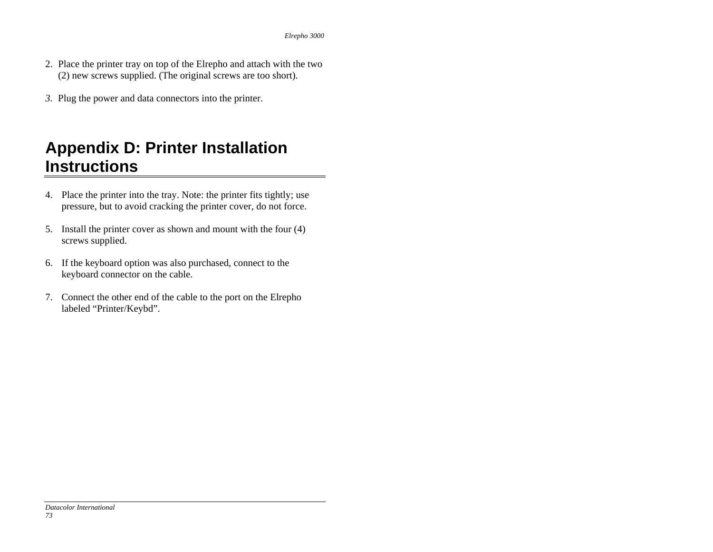- 2. Place the printer tray on top of the Elrepho and attach with the two (2) new screws supplied. (The original screws are too short).
- *3.* Plug the power and data connectors into the printer.

#### **Appendix D: Printer Installation Instructions**

- 4. Place the printer into the tray. Note: the printer fits tightly; use pressure, but to avoid cracking the printer cover, do not force.
- 5. Install the printer cover as shown and mount with the four (4) screws supplied.
- 6. If the keyboard option was also purchased, connect to the keyboard connector on the cable.
- 7. Connect the other end of the cable to the port on the Elrepho labeled "Printer/Keybd".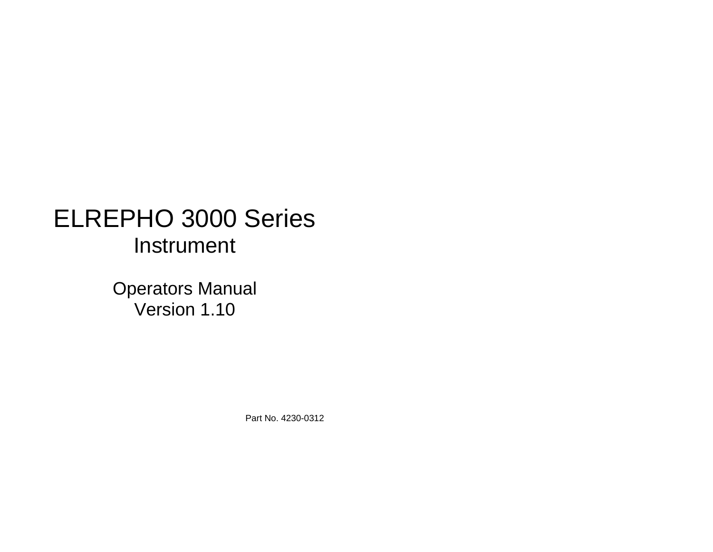# ELREPHO 3000 Series Instrument

Operators Manual Version 1.10

Part No. 4230-0312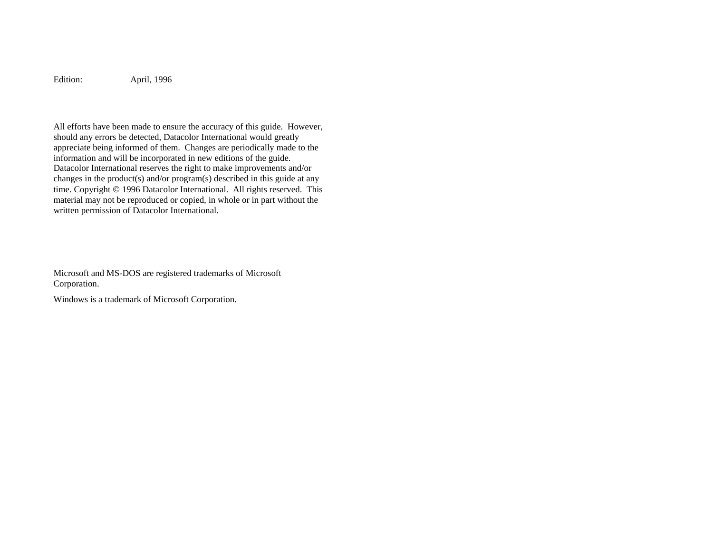Edition: April, 1996

All efforts have been made to ensure the accuracy of this guide. However, should any errors be detected, Datacolor International would greatly appreciate being informed of them. Changes are periodically made to the information and will be incorporated in new editions of the guide. Datacolor International reserves the right to make improvements and/or changes in the product(s) and/or program(s) described in this guide at any time. Copyright © 1996 Datacolor International. All rights reserved. This material may not be reproduced or copied, in whole or in part without the written permission of Datacolor International.

Microsoft and MS-DOS are registered trademarks of Microsoft Corporation.

Windows is a trademark of Microsoft Corporation.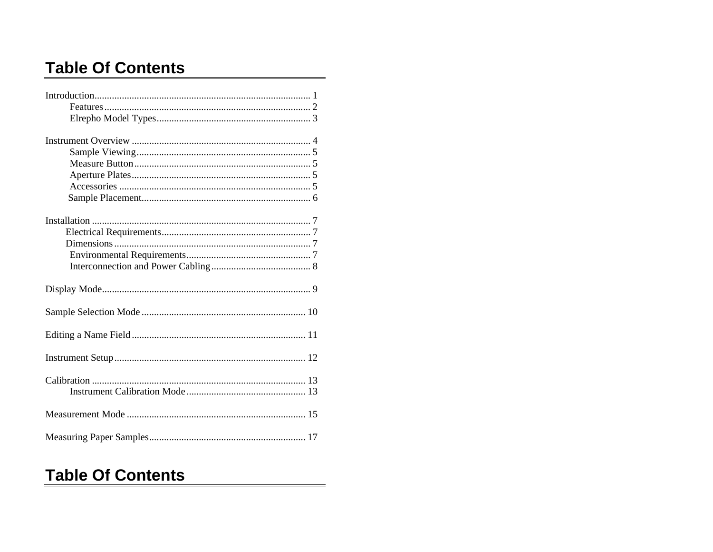### **Table Of Contents**

#### **Table Of Contents**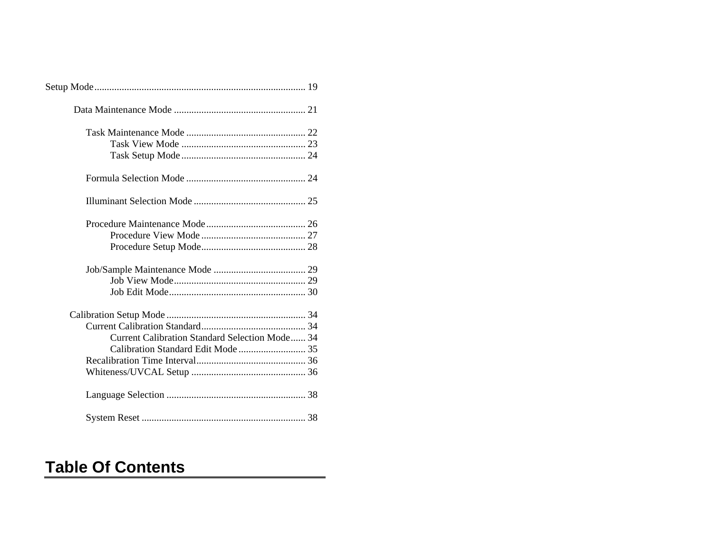| <b>Current Calibration Standard Selection Mode 34</b> |  |
|-------------------------------------------------------|--|
|                                                       |  |
|                                                       |  |
|                                                       |  |
|                                                       |  |
|                                                       |  |

## **Table Of Contents**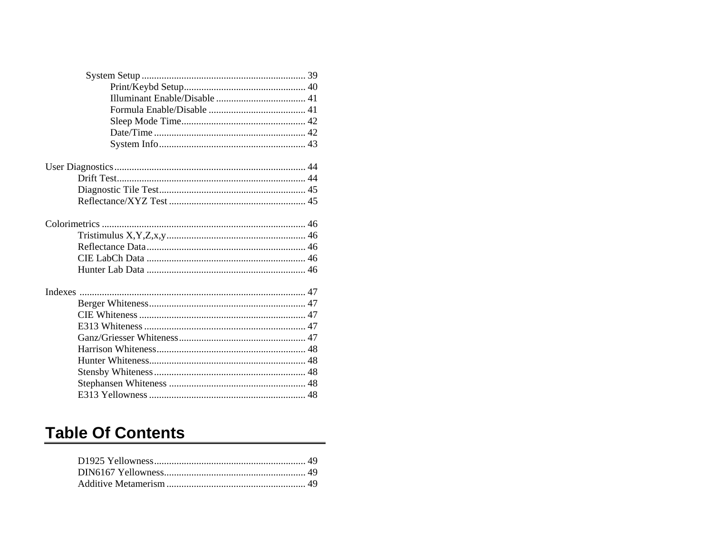## **Table Of Contents**